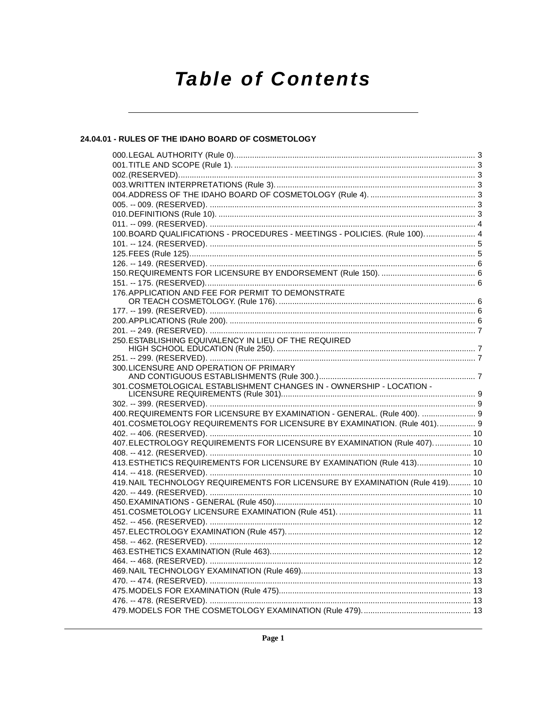# **Table of Contents**

# 24.04.01 - RULES OF THE IDAHO BOARD OF COSMETOLOGY

| 100.BOARD QUALIFICATIONS - PROCEDURES - MEETINGS - POLICIES. (Rule 100) 4                                                                          |  |
|----------------------------------------------------------------------------------------------------------------------------------------------------|--|
|                                                                                                                                                    |  |
|                                                                                                                                                    |  |
|                                                                                                                                                    |  |
|                                                                                                                                                    |  |
|                                                                                                                                                    |  |
| 176. APPLICATION AND FEE FOR PERMIT TO DEMONSTRATE                                                                                                 |  |
|                                                                                                                                                    |  |
|                                                                                                                                                    |  |
|                                                                                                                                                    |  |
|                                                                                                                                                    |  |
| 250. ESTABLISHING EQUIVALENCY IN LIEU OF THE REQUIRED                                                                                              |  |
|                                                                                                                                                    |  |
|                                                                                                                                                    |  |
| 300. LICENSURE AND OPERATION OF PRIMARY                                                                                                            |  |
|                                                                                                                                                    |  |
| 301. COSMETOLOGICAL ESTABLISHMENT CHANGES IN - OWNERSHIP - LOCATION -                                                                              |  |
|                                                                                                                                                    |  |
|                                                                                                                                                    |  |
| 400.REQUIREMENTS FOR LICENSURE BY EXAMINATION - GENERAL. (Rule 400).  9<br>401.COSMETOLOGY REQUIREMENTS FOR LICENSURE BY EXAMINATION. (Rule 401) 9 |  |
|                                                                                                                                                    |  |
| 407. ELECTROLOGY REQUIREMENTS FOR LICENSURE BY EXAMINATION (Rule 407).  10                                                                         |  |
|                                                                                                                                                    |  |
| 413. ESTHETICS REQUIREMENTS FOR LICENSURE BY EXAMINATION (Rule 413) 10                                                                             |  |
|                                                                                                                                                    |  |
| 419. NAIL TECHNOLOGY REQUIREMENTS FOR LICENSURE BY EXAMINATION (Rule 419) 10                                                                       |  |
|                                                                                                                                                    |  |
|                                                                                                                                                    |  |
|                                                                                                                                                    |  |
|                                                                                                                                                    |  |
|                                                                                                                                                    |  |
|                                                                                                                                                    |  |
|                                                                                                                                                    |  |
|                                                                                                                                                    |  |
|                                                                                                                                                    |  |
|                                                                                                                                                    |  |
|                                                                                                                                                    |  |
|                                                                                                                                                    |  |
|                                                                                                                                                    |  |
|                                                                                                                                                    |  |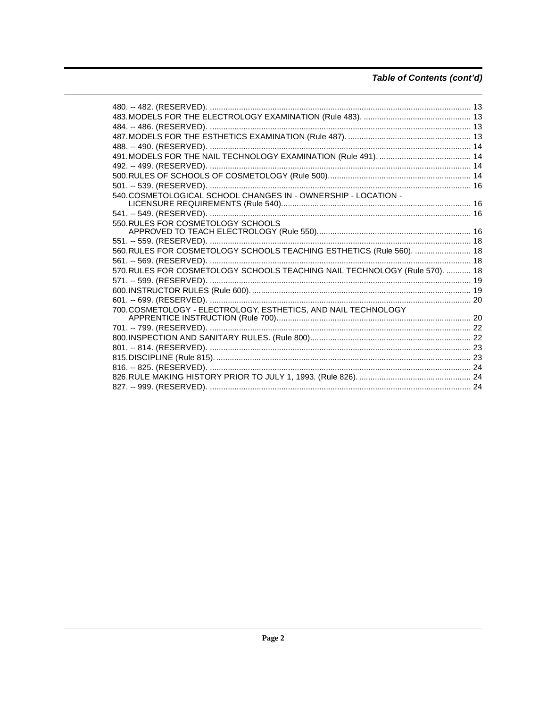# Table of Contents (cont'd)

| 550.RULES FOR COSMETOLOGY SCHOOLS                                           |  |
|-----------------------------------------------------------------------------|--|
|                                                                             |  |
|                                                                             |  |
| 560. RULES FOR COSMETOLOGY SCHOOLS TEACHING ESTHETICS (Rule 560).  18       |  |
|                                                                             |  |
| 570. RULES FOR COSMETOLOGY SCHOOLS TEACHING NAIL TECHNOLOGY (Rule 570).  18 |  |
|                                                                             |  |
|                                                                             |  |
|                                                                             |  |
| 700. COSMETOLOGY - ELECTROLOGY, ESTHETICS, AND NAIL TECHNOLOGY              |  |
|                                                                             |  |
|                                                                             |  |
|                                                                             |  |
|                                                                             |  |
|                                                                             |  |
|                                                                             |  |
|                                                                             |  |
|                                                                             |  |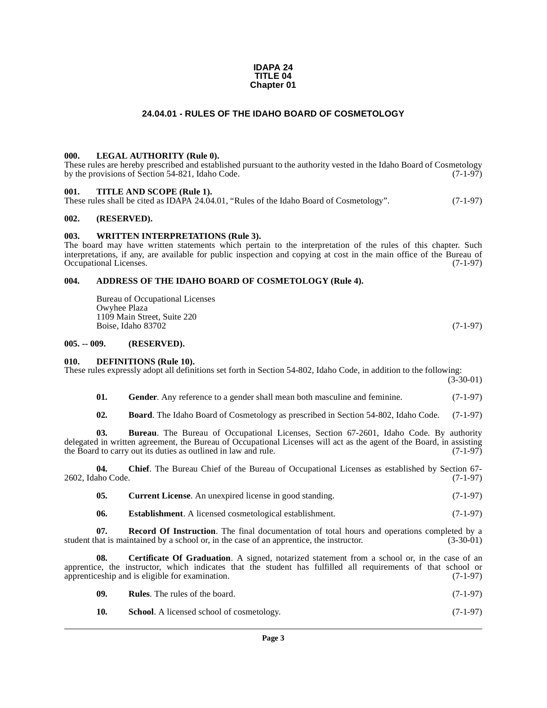#### **IDAPA 24 TITLE 04 Chapter 01**

#### **24.04.01 - RULES OF THE IDAHO BOARD OF COSMETOLOGY**

#### <span id="page-2-1"></span><span id="page-2-0"></span>**000. LEGAL AUTHORITY (Rule 0).**

These rules are hereby prescribed and established pursuant to the authority vested in the Idaho Board of Cosmetology by the provisions of Section 54-821, Idaho Code. (7-1-97)

#### <span id="page-2-2"></span>**001. TITLE AND SCOPE (Rule 1).**

| These rules shall be cited as IDAPA 24.04.01, "Rules of the Idaho Board of Cosmetology". | $(7-1-97)$ |
|------------------------------------------------------------------------------------------|------------|
|------------------------------------------------------------------------------------------|------------|

#### <span id="page-2-3"></span>**002. (RESERVED).**

#### <span id="page-2-4"></span>**003. WRITTEN INTERPRETATIONS (Rule 3).**

The board may have written statements which pertain to the interpretation of the rules of this chapter. Such interpretations, if any, are available for public inspection and copying at cost in the main office of the Bureau of Occupational Licenses. (7-1-97)

#### <span id="page-2-5"></span>**004. ADDRESS OF THE IDAHO BOARD OF COSMETOLOGY (Rule 4).**

<span id="page-2-8"></span>Bureau of Occupational Licenses Owyhee Plaza 1109 Main Street, Suite 220 Boise, Idaho 83702 (7-1-97)

#### <span id="page-2-6"></span>**005. -- 009. (RESERVED).**

#### <span id="page-2-12"></span><span id="page-2-7"></span>**010. DEFINITIONS (Rule 10).**

These rules expressly adopt all definitions set forth in Section 54-802, Idaho Code, in addition to the following:

 $(3-30-01)$ 

<span id="page-2-13"></span>**01.** Gender. Any reference to a gender shall mean both masculine and feminine. (7-1-97)

<span id="page-2-9"></span>**02. Board**. The Idaho Board of Cosmetology as prescribed in Section 54-802, Idaho Code. (7-1-97)

**03. Bureau**. The Bureau of Occupational Licenses, Section 67-2601, Idaho Code. By authority delegated in written agreement, the Bureau of Occupational Licenses will act as the agent of the Board, in assisting the Board to carry out its duties as outlined in law and rule. (7-1-97) the Board to carry out its duties as outlined in law and rule.

**04. Chief**. The Bureau Chief of the Bureau of Occupational Licenses as established by Section 67- 2602, Idaho Code. (7-1-97)

<span id="page-2-11"></span>

| 05. | <b>Current License.</b> An unexpired license in good standing. | $(7-1-97)$ |
|-----|----------------------------------------------------------------|------------|
|-----|----------------------------------------------------------------|------------|

<span id="page-2-14"></span><span id="page-2-10"></span>**06.** Establishment. A licensed cosmetological establishment. (7-1-97)

**07.** Record Of Instruction. The final documentation of total hours and operations completed by a hat is maintained by a school or, in the case of an apprentice, the instructor. (3-30-01) student that is maintained by a school or, in the case of an apprentice, the instructor.

**08. Certificate Of Graduation**. A signed, notarized statement from a school or, in the case of an apprentice, the instructor, which indicates that the student has fulfilled all requirements of that school or apprenticeship and is eligible for examination. (7-1-97) apprenticeship and is eligible for examination.

| 09. | <b>Rules.</b> The rules of the board. |  | $(7-1-97)$ |  |  |
|-----|---------------------------------------|--|------------|--|--|
|-----|---------------------------------------|--|------------|--|--|

| -10.<br><b>School.</b> A licensed school of cosmetology. | $(7-1-97)$ |  |  |  |
|----------------------------------------------------------|------------|--|--|--|
|----------------------------------------------------------|------------|--|--|--|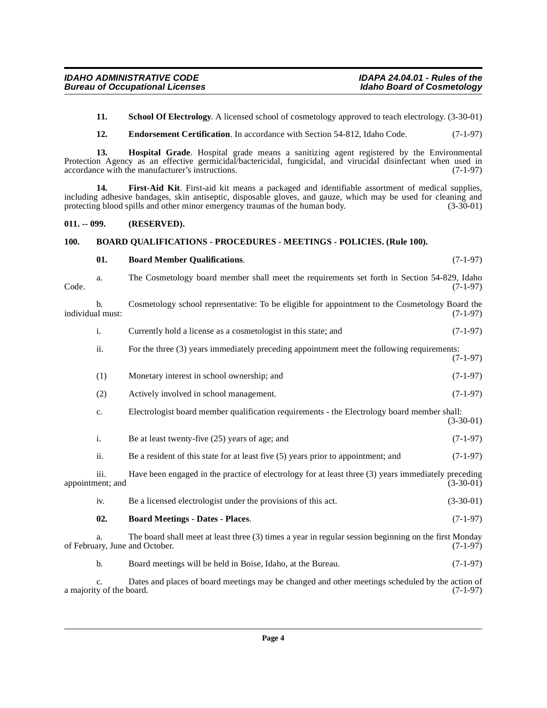<span id="page-3-8"></span>**11. School Of Electrology**. A licensed school of cosmetology approved to teach electrology. (3-30-01)

<span id="page-3-7"></span><span id="page-3-6"></span><span id="page-3-5"></span>**12. Endorsement Certification**. In accordance with Section 54-812, Idaho Code. (7-1-97)

<span id="page-3-4"></span><span id="page-3-3"></span>**01. Board Member Qualifications**. (7-1-97)

**13. Hospital Grade**. Hospital grade means a sanitizing agent registered by the Environmental Protection Agency as an effective germicidal/bactericidal, fungicidal, and virucidal disinfectant when used in accordance with the manufacturer's instructions. (7-1-97)

**14. First-Aid Kit**. First-aid kit means a packaged and identifiable assortment of medical supplies, including adhesive bandages, skin antiseptic, disposable gloves, and gauze, which may be used for cleaning and protecting blood spills and other minor emergency traumas of the human body. (3-30-01) protecting blood spills and other minor emergency traumas of the human body.

#### <span id="page-3-0"></span>**011. -- 099. (RESERVED).**

#### <span id="page-3-1"></span>**100. BOARD QUALIFICATIONS - PROCEDURES - MEETINGS - POLICIES. (Rule 100).**

<span id="page-3-2"></span>

| Code.            | a.                             | The Cosmetology board member shall meet the requirements set forth in Section 54-829, Idaho                                             | $(7-1-97)$  |
|------------------|--------------------------------|-----------------------------------------------------------------------------------------------------------------------------------------|-------------|
| individual must: | b.                             | Cosmetology school representative: To be eligible for appointment to the Cosmetology Board the                                          | $(7-1-97)$  |
|                  | i.                             | Currently hold a license as a cosmetologist in this state; and                                                                          | $(7-1-97)$  |
|                  | ii.                            | For the three (3) years immediately preceding appointment meet the following requirements:                                              | $(7-1-97)$  |
|                  | (1)                            | Monetary interest in school ownership; and                                                                                              | $(7-1-97)$  |
|                  | (2)                            | Actively involved in school management.                                                                                                 | $(7-1-97)$  |
|                  | c.                             | Electrologist board member qualification requirements - the Electrology board member shall:                                             | $(3-30-01)$ |
|                  | i.                             | Be at least twenty-five (25) years of age; and                                                                                          | $(7-1-97)$  |
|                  | ii.                            | Be a resident of this state for at least five $(5)$ years prior to appointment; and                                                     | $(7-1-97)$  |
|                  | iii.<br>appointment; and       | Have been engaged in the practice of electrology for at least three (3) years immediately preceding                                     | $(3-30-01)$ |
|                  | iv.                            | Be a licensed electrologist under the provisions of this act.                                                                           | $(3-30-01)$ |
|                  | 02.                            | <b>Board Meetings - Dates - Places.</b>                                                                                                 | $(7-1-97)$  |
|                  | a.                             | The board shall meet at least three (3) times a year in regular session beginning on the first Monday<br>of February, June and October. | $(7-1-97)$  |
|                  | b.                             | Board meetings will be held in Boise, Idaho, at the Bureau.                                                                             | $(7-1-97)$  |
|                  | c.<br>a majority of the board. | Dates and places of board meetings may be changed and other meetings scheduled by the action of                                         | $(7-1-97)$  |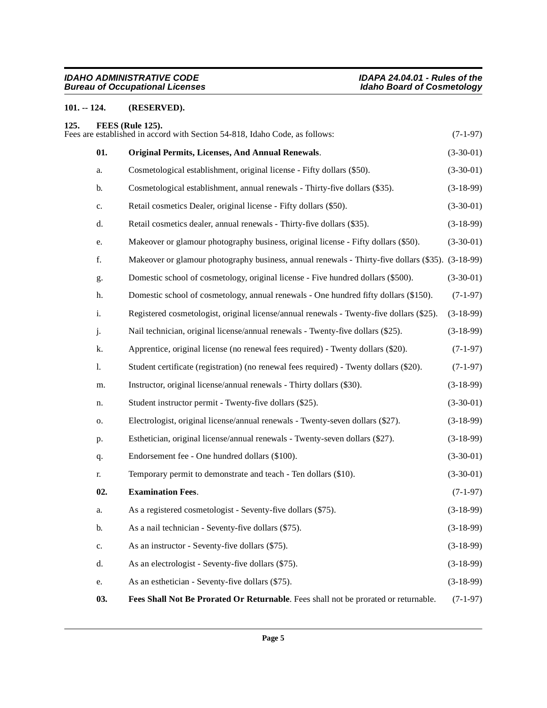# <span id="page-4-0"></span>**101. -- 124. (RESERVED).**

<span id="page-4-5"></span><span id="page-4-4"></span><span id="page-4-3"></span><span id="page-4-2"></span><span id="page-4-1"></span>

| 125. |               | FEES (Rule 125).<br>Fees are established in accord with Section 54-818, Idaho Code, as follows:   | $(7-1-97)$  |
|------|---------------|---------------------------------------------------------------------------------------------------|-------------|
|      | 01.           | <b>Original Permits, Licenses, And Annual Renewals.</b>                                           | $(3-30-01)$ |
|      | a.            | Cosmetological establishment, original license - Fifty dollars (\$50).                            | $(3-30-01)$ |
|      | b.            | Cosmetological establishment, annual renewals - Thirty-five dollars (\$35).                       | $(3-18-99)$ |
|      | c.            | Retail cosmetics Dealer, original license - Fifty dollars (\$50).                                 | $(3-30-01)$ |
|      | d.            | Retail cosmetics dealer, annual renewals - Thirty-five dollars (\$35).                            | $(3-18-99)$ |
|      | e.            | Makeover or glamour photography business, original license - Fifty dollars (\$50).                | $(3-30-01)$ |
|      | f.            | Makeover or glamour photography business, annual renewals - Thirty-five dollars (\$35). (3-18-99) |             |
|      | g.            | Domestic school of cosmetology, original license - Five hundred dollars (\$500).                  | $(3-30-01)$ |
|      | h.            | Domestic school of cosmetology, annual renewals - One hundred fifty dollars (\$150).              | $(7-1-97)$  |
|      | i.            | Registered cosmetologist, original license/annual renewals - Twenty-five dollars (\$25).          | $(3-18-99)$ |
|      | j.            | Nail technician, original license/annual renewals - Twenty-five dollars (\$25).                   | $(3-18-99)$ |
|      | k.            | Apprentice, original license (no renewal fees required) - Twenty dollars (\$20).                  | $(7-1-97)$  |
|      | 1.            | Student certificate (registration) (no renewal fees required) - Twenty dollars (\$20).            | $(7-1-97)$  |
|      | m.            | Instructor, original license/annual renewals - Thirty dollars (\$30).                             | $(3-18-99)$ |
|      | n.            | Student instructor permit - Twenty-five dollars (\$25).                                           | $(3-30-01)$ |
|      | о.            | Electrologist, original license/annual renewals - Twenty-seven dollars (\$27).                    | $(3-18-99)$ |
|      | p.            | Esthetician, original license/annual renewals - Twenty-seven dollars (\$27).                      | $(3-18-99)$ |
|      | q.            | Endorsement fee - One hundred dollars (\$100).                                                    | $(3-30-01)$ |
|      | r.            | Temporary permit to demonstrate and teach - Ten dollars (\$10).                                   | $(3-30-01)$ |
|      | 02.           | <b>Examination Fees.</b>                                                                          | $(7-1-97)$  |
|      | a.            | As a registered cosmetologist - Seventy-five dollars (\$75).                                      | $(3-18-99)$ |
|      | b.            | As a nail technician - Seventy-five dollars (\$75).                                               | $(3-18-99)$ |
|      | $\mathbf{c}.$ | As an instructor - Seventy-five dollars (\$75).                                                   | $(3-18-99)$ |
|      | d.            | As an electrologist - Seventy-five dollars (\$75).                                                | $(3-18-99)$ |
|      | e.            | As an esthetician - Seventy-five dollars (\$75).                                                  | $(3-18-99)$ |
|      | 03.           | Fees Shall Not Be Prorated Or Returnable. Fees shall not be prorated or returnable.               | $(7-1-97)$  |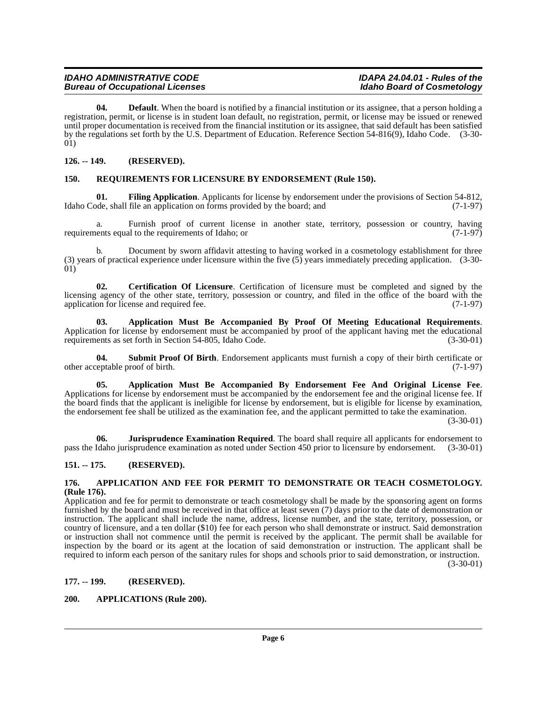<span id="page-5-11"></span>**04. Default**. When the board is notified by a financial institution or its assignee, that a person holding a registration, permit, or license is in student loan default, no registration, permit, or license may be issued or renewed until proper documentation is received from the financial institution or its assignee, that said default has been satisfied by the regulations set forth by the U.S. Department of Education. Reference Section 54-816(9), Idaho Code. (3-30- 01)

#### <span id="page-5-0"></span>**126. -- 149. (RESERVED).**

#### <span id="page-5-14"></span><span id="page-5-1"></span>**150. REQUIREMENTS FOR LICENSURE BY ENDORSEMENT (Rule 150).**

<span id="page-5-12"></span>**01. Filing Application**. Applicants for license by endorsement under the provisions of Section 54-812, bde, shall file an application on forms provided by the board; and (7-1-97) Idaho Code, shall file an application on forms provided by the board; and

Furnish proof of current license in another state, territory, possession or country, having requirements equal to the requirements of Idaho; or (7-1-97)

b. Document by sworn affidavit attesting to having worked in a cosmetology establishment for three (3) years of practical experience under licensure within the five (5) years immediately preceding application. (3-30- 01)

<span id="page-5-10"></span>**02. Certification Of Licensure**. Certification of licensure must be completed and signed by the licensing agency of the other state, territory, possession or country, and filed in the office of the board with the application for license and required fee. (7-1-97) application for license and required fee.

<span id="page-5-8"></span>**03. Application Must Be Accompanied By Proof Of Meeting Educational Requirements**. Application for license by endorsement must be accompanied by proof of the applicant having met the educational requirements as set forth in Section 54-805, Idaho Code. (3-30-01) requirements as set forth in Section 54-805, Idaho Code.

<span id="page-5-15"></span>**04. Submit Proof Of Birth**. Endorsement applicants must furnish a copy of their birth certificate or other acceptable proof of birth. (7-1-97)

<span id="page-5-7"></span>**05. Application Must Be Accompanied By Endorsement Fee And Original License Fee**. Applications for license by endorsement must be accompanied by the endorsement fee and the original license fee. If the board finds that the applicant is ineligible for license by endorsement, but is eligible for license by examination, the endorsement fee shall be utilized as the examination fee, and the applicant permitted to take the examination.

 $(3-30-01)$ 

<span id="page-5-13"></span>**06. Jurisprudence Examination Required**. The board shall require all applicants for endorsement to pass the Idaho jurisprudence examination as noted under Section 450 prior to licensure by endorsement. (3-30-01)

## <span id="page-5-2"></span>**151. -- 175. (RESERVED).**

#### <span id="page-5-6"></span><span id="page-5-3"></span>**176. APPLICATION AND FEE FOR PERMIT TO DEMONSTRATE OR TEACH COSMETOLOGY. (Rule 176).**

Application and fee for permit to demonstrate or teach cosmetology shall be made by the sponsoring agent on forms furnished by the board and must be received in that office at least seven (7) days prior to the date of demonstration or instruction. The applicant shall include the name, address, license number, and the state, territory, possession, or country of licensure, and a ten dollar (\$10) fee for each person who shall demonstrate or instruct. Said demonstration or instruction shall not commence until the permit is received by the applicant. The permit shall be available for inspection by the board or its agent at the location of said demonstration or instruction. The applicant shall be required to inform each person of the sanitary rules for shops and schools prior to said demonstration, or instruction.  $(3-30-01)$ 

#### <span id="page-5-4"></span>**177. -- 199. (RESERVED).**

#### <span id="page-5-9"></span><span id="page-5-5"></span>**200. APPLICATIONS (Rule 200).**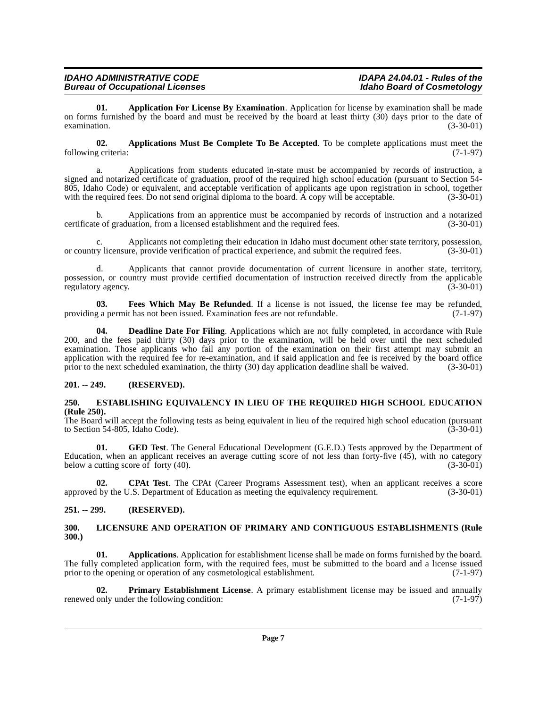<span id="page-6-4"></span>**01. Application For License By Examination**. Application for license by examination shall be made on forms furnished by the board and must be received by the board at least thirty (30) days prior to the date of examination.  $(3-30-01)$ examination. (3-30-01)

<span id="page-6-5"></span>**02. Applications Must Be Complete To Be Accepted**. To be complete applications must meet the following criteria: (7-1-97)

a. Applications from students educated in-state must be accompanied by records of instruction, a signed and notarized certificate of graduation, proof of the required high school education (pursuant to Section 54- 805, Idaho Code) or equivalent, and acceptable verification of applicants age upon registration in school, together with the required fees. Do not send original diploma to the board. A copy will be acceptable. (3-30-01) with the required fees. Do not send original diploma to the board. A copy will be acceptable.

b. Applications from an apprentice must be accompanied by records of instruction and a notarized certificate of graduation, from a licensed establishment and the required fees. (3-30-01)

Applicants not completing their education in Idaho must document other state territory, possession, re, provide verification of practical experience, and submit the required fees. (3-30-01) or country licensure, provide verification of practical experience, and submit the required fees.

d. Applicants that cannot provide documentation of current licensure in another state, territory, possession, or country must provide certified documentation of instruction received directly from the applicable regulatory agency. (3-30-01) regulatory agency.

<span id="page-6-10"></span>**03. Fees Which May Be Refunded**. If a license is not issued, the license fee may be refunded, g a permit has not been issued. Examination fees are not refundable. (7-1-97) providing a permit has not been issued. Examination fees are not refundable.

<span id="page-6-8"></span>**04. Deadline Date For Filing**. Applications which are not fully completed, in accordance with Rule 200, and the fees paid thirty (30) days prior to the examination, will be held over until the next scheduled examination. Those applicants who fail any portion of the examination on their first attempt may submit an application with the required fee for re-examination, and if said application and fee is received by the board office prior to the next scheduled examination, the thirty (30) day application deadline shall be waived. (3-30-01)

#### <span id="page-6-0"></span>**201. -- 249. (RESERVED).**

#### <span id="page-6-9"></span><span id="page-6-1"></span>**250. ESTABLISHING EQUIVALENCY IN LIEU OF THE REQUIRED HIGH SCHOOL EDUCATION (Rule 250).**

The Board will accept the following tests as being equivalent in lieu of the required high school education (pursuant to Section 54-805, Idaho Code). (3-30-01) to Section 54-805, Idaho Code).

<span id="page-6-11"></span>**01. GED Test**. The General Educational Development (G.E.D.) Tests approved by the Department of Education, when an applicant receives an average cutting score of not less than forty-five (45), with no category below a cutting score of forty  $(40)$ . (3-30-01)

<span id="page-6-7"></span>**02. CPAt Test**. The CPAt (Career Programs Assessment test), when an applicant receives a score approved by the U.S. Department of Education as meeting the equivalency requirement. (3-30-01)

#### <span id="page-6-2"></span>**251. -- 299. (RESERVED).**

#### <span id="page-6-12"></span><span id="page-6-3"></span>**300. LICENSURE AND OPERATION OF PRIMARY AND CONTIGUOUS ESTABLISHMENTS (Rule 300.)**

<span id="page-6-6"></span>**01. Applications**. Application for establishment license shall be made on forms furnished by the board. The fully completed application form, with the required fees, must be submitted to the board and a license issued prior to the opening or operation of any cosmetological establishment. (7-1-97)

<span id="page-6-13"></span>**02. Primary Establishment License**. A primary establishment license may be issued and annually only under the following condition: (7-1-97) renewed only under the following condition: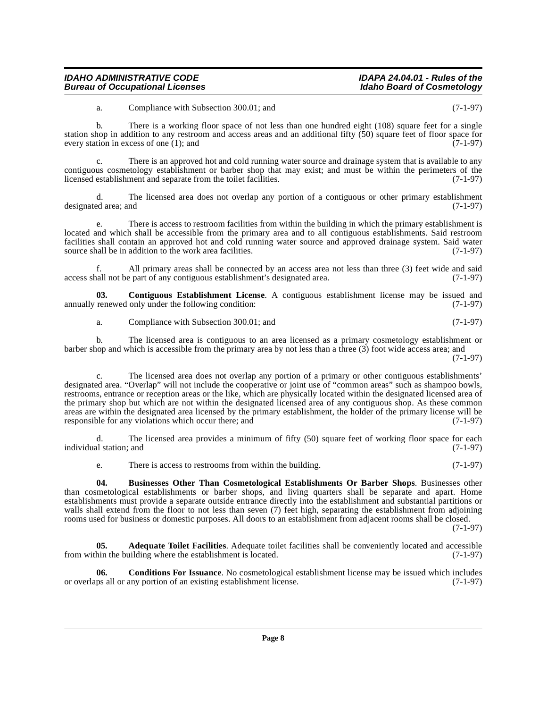a. Compliance with Subsection 300.01; and (7-1-97)

b. There is a working floor space of not less than one hundred eight (108) square feet for a single station shop in addition to any restroom and access areas and an additional fifty (50) square feet of floor space for every station in excess of one  $(1)$ ; and  $(7-1-97)$ 

c. There is an approved hot and cold running water source and drainage system that is available to any contiguous cosmetology establishment or barber shop that may exist; and must be within the perimeters of the licensed establishment and separate from the toilet facilities. (7-1-97)

d. The licensed area does not overlap any portion of a contiguous or other primary establishment designated area; and

There is access to restroom facilities from within the building in which the primary establishment is located and which shall be accessible from the primary area and to all contiguous establishments. Said restroom facilities shall contain an approved hot and cold running water source and approved drainage system. Said water source shall be in addition to the work area facilities. (7-1-97) source shall be in addition to the work area facilities.

f. All primary areas shall be connected by an access area not less than three (3) feet wide and said access shall not be part of any contiguous establishment's designated area. (7-1-97)

**03.** Contiguous Establishment License. A contiguous establishment license may be issued and renewed only under the following condition: (7-1-97) annually renewed only under the following condition:

<span id="page-7-3"></span>a. Compliance with Subsection 300.01; and (7-1-97)

b. The licensed area is contiguous to an area licensed as a primary cosmetology establishment or barber shop and which is accessible from the primary area by not less than a three (3) foot wide access area; and (7-1-97)

The licensed area does not overlap any portion of a primary or other contiguous establishments' designated area. "Overlap" will not include the cooperative or joint use of "common areas" such as shampoo bowls, restrooms, entrance or reception areas or the like, which are physically located within the designated licensed area of the primary shop but which are not within the designated licensed area of any contiguous shop. As these common areas are within the designated area licensed by the primary establishment, the holder of the primary license will be responsible for any violations which occur there; and (7-1-97) responsible for any violations which occur there; and

d. The licensed area provides a minimum of fifty (50) square feet of working floor space for each individual station; and (7-1-97)

<span id="page-7-1"></span>e. There is access to restrooms from within the building. (7-1-97)

**04. Businesses Other Than Cosmetological Establishments Or Barber Shops**. Businesses other than cosmetological establishments or barber shops, and living quarters shall be separate and apart. Home establishments must provide a separate outside entrance directly into the establishment and substantial partitions or walls shall extend from the floor to not less than seven (7) feet high, separating the establishment from adjoining rooms used for business or domestic purposes. All doors to an establishment from adjacent rooms shall be closed.

(7-1-97)

<span id="page-7-0"></span>**05. Adequate Toilet Facilities**. Adequate toilet facilities shall be conveniently located and accessible hin the building where the establishment is located. (7-1-97) from within the building where the establishment is located.

<span id="page-7-2"></span>**06.** Conditions For Issuance. No cosmetological establishment license may be issued which includes ps all or any portion of an existing establishment license. (7-1-97) or overlaps all or any portion of an existing establishment license.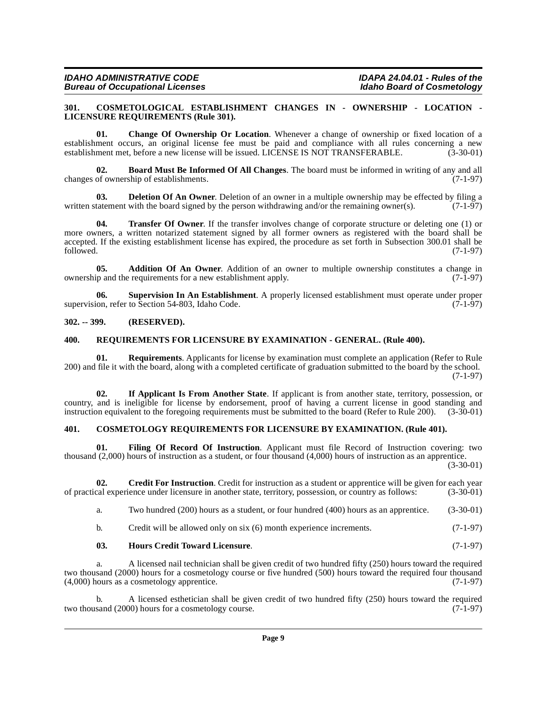| IDAHO ADMINISTRATIVE CODE       | <b>IDAPA 24.0</b> |
|---------------------------------|-------------------|
| Bureau of Occupational Licenses | Idaho Boai        |

#### <span id="page-8-7"></span><span id="page-8-0"></span>**301. COSMETOLOGICAL ESTABLISHMENT CHANGES IN - OWNERSHIP - LOCATION - LICENSURE REQUIREMENTS (Rule 301).**

<span id="page-8-6"></span>**01. Change Of Ownership Or Location**. Whenever a change of ownership or fixed location of a establishment occurs, an original license fee must be paid and compliance with all rules concerning a new establishment met, before a new license will be issued. LICENSE IS NOT TRANSFERABLE. (3-30-01)

<span id="page-8-5"></span>**02. Board Must Be Informed Of All Changes**. The board must be informed in writing of any and all changes of ownership of establishments. (7-1-97)

<span id="page-8-10"></span>**03. Deletion Of An Owner**. Deletion of an owner in a multiple ownership may be effected by filing a tatement with the board signed by the person withdrawing and/or the remaining owner(s). (7-1-97) written statement with the board signed by the person withdrawing and/or the remaining owner(s).

<span id="page-8-16"></span>**04. Transfer Of Owner**. If the transfer involves change of corporate structure or deleting one (1) or more owners, a written notarized statement signed by all former owners as registered with the board shall be accepted. If the existing establishment license has expired, the procedure as set forth in Subsection 300.01 shall be followed. (7-1-97)  $f_{\text{followed.}}$  (7-1-97)

<span id="page-8-4"></span>**05. Addition Of An Owner**. Addition of an owner to multiple ownership constitutes a change in p and the requirements for a new establishment apply. (7-1-97) ownership and the requirements for a new establishment apply.

<span id="page-8-15"></span>**06. Supervision In An Establishment**. A properly licensed establishment must operate under proper supervision, refer to Section 54-803, Idaho Code.

#### <span id="page-8-1"></span>**302. -- 399. (RESERVED).**

#### <span id="page-8-14"></span><span id="page-8-2"></span>**400. REQUIREMENTS FOR LICENSURE BY EXAMINATION - GENERAL. (Rule 400).**

**01. Requirements**. Applicants for license by examination must complete an application (Refer to Rule 200) and file it with the board, along with a completed certificate of graduation submitted to the board by the school. (7-1-97)

<span id="page-8-13"></span>**02. If Applicant Is From Another State**. If applicant is from another state, territory, possession, or country, and is ineligible for license by endorsement, proof of having a current license in good standing and instruction equivalent to the foregoing requirements must be submitted to the board (Refer to Rule 200). (3-30-01)

## <span id="page-8-8"></span><span id="page-8-3"></span>**401. COSMETOLOGY REQUIREMENTS FOR LICENSURE BY EXAMINATION. (Rule 401).**

<span id="page-8-11"></span>**01. Filing Of Record Of Instruction**. Applicant must file Record of Instruction covering: two thousand (2,000) hours of instruction as a student, or four thousand (4,000) hours of instruction as an apprentice. (3-30-01)

**02.** Credit For Instruction. Credit for instruction as a student or apprentice will be given for each year cal experience under licensure in another state, territory, possession, or country as follows: (3-30-01) of practical experience under licensure in another state, territory, possession, or country as follows:

<span id="page-8-9"></span>a. Two hundred (200) hours as a student, or four hundred (400) hours as an apprentice. (3-30-01)

<span id="page-8-12"></span>b. Credit will be allowed only on six (6) month experience increments. (7-1-97)

#### **03. Hours Credit Toward Licensure**. (7-1-97)

a. A licensed nail technician shall be given credit of two hundred fifty (250) hours toward the required two thousand (2000) hours for a cosmetology course or five hundred (500) hours toward the required four thousand (4,000) hours as a cosmetology apprentice.  $(7-1-97)$  $(4,000)$  hours as a cosmetology apprentice.

b. A licensed esthetician shall be given credit of two hundred fifty  $(250)$  hours toward the required sand  $(2000)$  hours for a cosmetology course.  $(7-1-97)$ two thousand (2000) hours for a cosmetology course.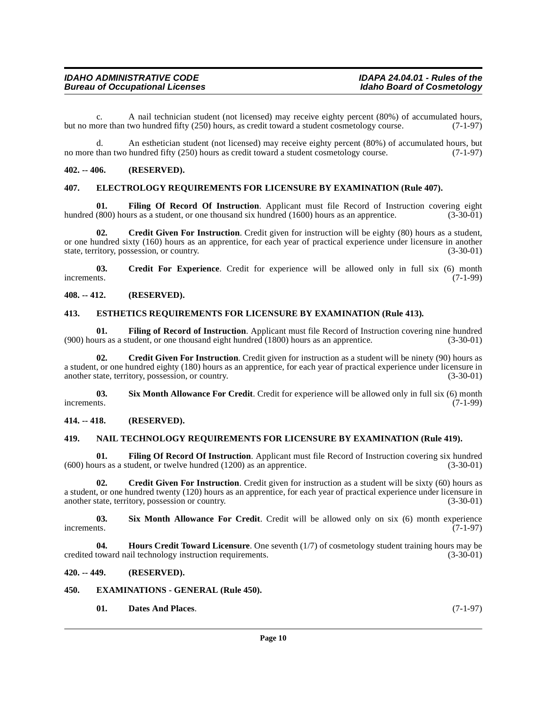c. A nail technician student (not licensed) may receive eighty percent (80%) of accumulated hours, ore than two hundred fifty (250) hours, as credit toward a student cosmetology course. (7-1-97) but no more than two hundred fifty (250) hours, as credit toward a student cosmetology course.

d. An esthetician student (not licensed) may receive eighty percent (80%) of accumulated hours, but no more than two hundred fifty (250) hours as credit toward a student cosmetology course. (7-1-97)

#### <span id="page-9-0"></span>**402. -- 406. (RESERVED).**

#### <span id="page-9-13"></span><span id="page-9-1"></span>**407. ELECTROLOGY REQUIREMENTS FOR LICENSURE BY EXAMINATION (Rule 407).**

<span id="page-9-16"></span>**01.** Filing Of Record Of Instruction. Applicant must file Record of Instruction covering eight (800) hours as a student, or one thousand six hundred (1600) hours as an apprentice. (3-30-01) hundred (800) hours as a student, or one thousand six hundred (1600) hours as an apprentice.

<span id="page-9-9"></span>**02.** Credit Given For Instruction. Credit given for instruction will be eighty (80) hours as a student, or one hundred sixty (160) hours as an apprentice, for each year of practical experience under licensure in another state, territory, possession, or country. (3-30-01) state, territory, possession, or country.

<span id="page-9-8"></span>**03.** Credit For Experience. Credit for experience will be allowed only in full six (6) month thus. increments.  $(7-1-99)$ 

### <span id="page-9-2"></span>**408. -- 412. (RESERVED).**

#### <span id="page-9-14"></span><span id="page-9-3"></span>**413. ESTHETICS REQUIREMENTS FOR LICENSURE BY EXAMINATION (Rule 413).**

<span id="page-9-18"></span>**01.** Filing of Record of Instruction. Applicant must file Record of Instruction covering nine hundred urs as a student, or one thousand eight hundred (1800) hours as an apprentice. (3-30-01)  $(900)$  hours as a student, or one thousand eight hundred  $(1800)$  hours as an apprentice.

<span id="page-9-10"></span>**02. Credit Given For Instruction**. Credit given for instruction as a student will be ninety (90) hours as a student, or one hundred eighty (180) hours as an apprentice, for each year of practical experience under licensure in another state, territory, possession, or country. (3-30-01) (3-30-01)

<span id="page-9-21"></span>**03.** Six Month Allowance For Credit. Credit for experience will be allowed only in full six (6) month increments. (7-1-99) increments. (7-1-99)

#### <span id="page-9-4"></span>**414. -- 418. (RESERVED).**

#### <span id="page-9-20"></span><span id="page-9-5"></span>**419. NAIL TECHNOLOGY REQUIREMENTS FOR LICENSURE BY EXAMINATION (Rule 419).**

<span id="page-9-17"></span>**01. Filing Of Record Of Instruction**. Applicant must file Record of Instruction covering six hundred (600) hours as a student, or twelve hundred (1200) as an apprentice. (3-30-01)

<span id="page-9-11"></span>**02. Credit Given For Instruction**. Credit given for instruction as a student will be sixty (60) hours as a student, or one hundred twenty (120) hours as an apprentice, for each year of practical experience under licensure in another state, territory, possession or country. (3-30-01) another state, territory, possession or country.

<span id="page-9-22"></span>**03. Six Month Allowance For Credit**. Credit will be allowed only on six (6) month experience increments. (7-1-97)

<span id="page-9-19"></span>**Hours Credit Toward Licensure**. One seventh (1/7) of cosmetology student training hours may be ail technology instruction requirements. (3-30-01) credited toward nail technology instruction requirements.

#### <span id="page-9-6"></span>**420. -- 449. (RESERVED).**

#### <span id="page-9-7"></span>**450. EXAMINATIONS - GENERAL (Rule 450).**

<span id="page-9-15"></span><span id="page-9-12"></span>**01. Dates And Places**. (7-1-97)

**Page 10**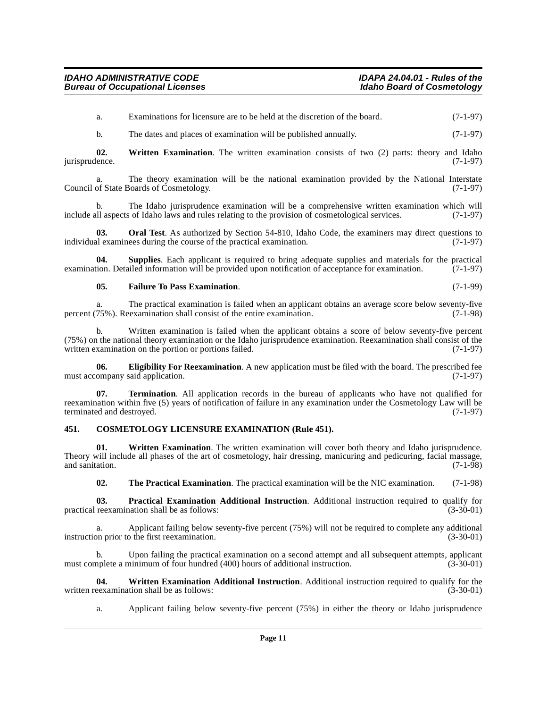a. Examinations for licensure are to be held at the discretion of the board. (7-1-97)

<span id="page-10-10"></span>b. The dates and places of examination will be published annually. (7-1-97)

**02.** Written Examination. The written examination consists of two (2) parts: theory and Idaho (also ence. jurisprudence.

a. The theory examination will be the national examination provided by the National Interstate Council of State Boards of Cosmetology. (7-1-97)

The Idaho jurisprudence examination will be a comprehensive written examination which will s of Idaho laws and rules relating to the provision of cosmetological services.  $(7-1-97)$ include all aspects of Idaho laws and rules relating to the provision of cosmetological services.

<span id="page-10-4"></span>**03. Oral Test**. As authorized by Section 54-810, Idaho Code, the examiners may direct questions to al examinees during the course of the practical examination. (7-1-97) individual examinees during the course of the practical examination.

**04. Supplies**. Each applicant is required to bring adequate supplies and materials for the practical examination. Detailed information will be provided upon notification of acceptance for examination. (7-1-97)

#### <span id="page-10-6"></span><span id="page-10-3"></span>**05. Failure To Pass Examination**. (7-1-99)

a. The practical examination is failed when an applicant obtains an average score below seventy-five percent (75%). Reexamination shall consist of the entire examination. (7-1-98)

b. Written examination is failed when the applicant obtains a score of below seventy-five percent (75%) on the national theory examination or the Idaho jurisprudence examination. Reexamination shall consist of the written examination on the portion or portions failed. (7-1-97)

<span id="page-10-2"></span>**06. Eligibility For Reexamination**. A new application must be filed with the board. The prescribed fee ompany said application. (7-1-97) must accompany said application.

<span id="page-10-7"></span>**07. Termination**. All application records in the bureau of applicants who have not qualified for reexamination within five (5) years of notification of failure in any examination under the Cosmetology Law will be terminated and destroyed.

#### <span id="page-10-1"></span><span id="page-10-0"></span>**451. COSMETOLOGY LICENSURE EXAMINATION (Rule 451).**

**01.** Written Examination. The written examination will cover both theory and Idaho jurisprudence. Theory will include all phases of the art of cosmetology, hair dressing, manicuring and pedicuring, facial massage, and sanitation. (7-1-98) and sanitation. (7-1-98)

<span id="page-10-11"></span><span id="page-10-8"></span><span id="page-10-5"></span>**02. The Practical Examination**. The practical examination will be the NIC examination. (7-1-98)

**03. Practical Examination Additional Instruction**. Additional instruction required to qualify for reexamination shall be as follows: (3-30-01) practical reexamination shall be as follows:

a. Applicant failing below seventy-five percent (75%) will not be required to complete any additional instruction prior to the first reexamination. (3-30-01)

b. Upon failing the practical examination on a second attempt and all subsequent attempts, applicant must complete a minimum of four hundred (400) hours of additional instruction. (3-30-01)

**04.** Written Examination Additional Instruction. Additional instruction required to qualify for the eexamination shall be as follows: written reexamination shall be as follows:

<span id="page-10-9"></span>a. Applicant failing below seventy-five percent (75%) in either the theory or Idaho jurisprudence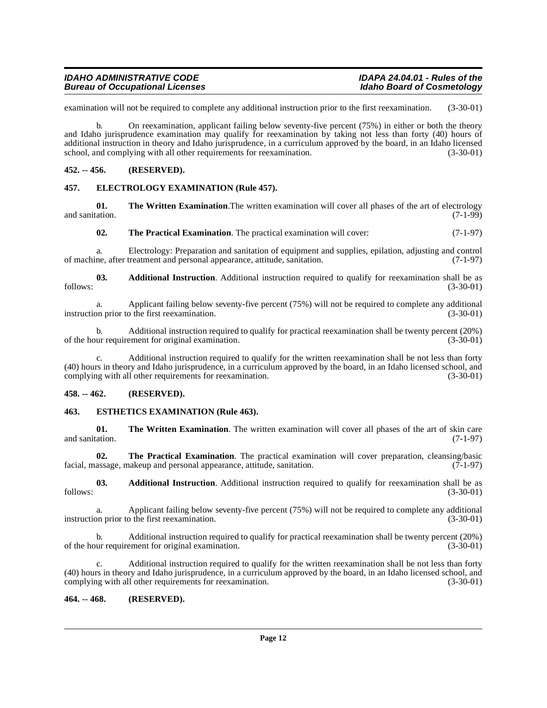examination will not be required to complete any additional instruction prior to the first reexamination. (3-30-01)

b. On reexamination, applicant failing below seventy-five percent (75%) in either or both the theory and Idaho jurisprudence examination may qualify for reexamination by taking not less than forty (40) hours of additional instruction in theory and Idaho jurisprudence, in a curriculum approved by the board, in an Idaho licensed school, and complying with all other requirements for reexamination. (3-30-01)

#### <span id="page-11-0"></span>**452. -- 456. (RESERVED).**

#### <span id="page-11-5"></span><span id="page-11-1"></span>**457. ELECTROLOGY EXAMINATION (Rule 457).**

**01.** The Written Examination. The written examination will cover all phases of the art of electrology and sanitation. (7-1-99) and sanitation. (7-1-99)

<span id="page-11-7"></span>**02. The Practical Examination**. The practical examination will cover: (7-1-97)

a. Electrology: Preparation and sanitation of equipment and supplies, epilation, adjusting and control of machine, after treatment and personal appearance, attitude, sanitation.

**03. Additional Instruction**. Additional instruction required to qualify for reexamination shall be as (3-30-01) follows: (3-30-01)

a. Applicant failing below seventy-five percent (75%) will not be required to complete any additional (3-30-01) on prior to the first reexamination. instruction prior to the first reexamination.

b. Additional instruction required to qualify for practical reexamination shall be twenty percent (20%) ur requirement for original examination. (3-30-01) of the hour requirement for original examination.

Additional instruction required to qualify for the written reexamination shall be not less than forty (40) hours in theory and Idaho jurisprudence, in a curriculum approved by the board, in an Idaho licensed school, and complying with all other requirements for reexamination. (3-30-01)

#### <span id="page-11-2"></span>**458. -- 462. (RESERVED).**

#### <span id="page-11-6"></span><span id="page-11-3"></span>**463. ESTHETICS EXAMINATION (Rule 463).**

**01.** The Written Examination. The written examination will cover all phases of the art of skin care and sanitation. (7-1-97)

**02. The Practical Examination**. The practical examination will cover preparation, cleansing/basic facial, massage, makeup and personal appearance, attitude, sanitation.  $(7-1-97)$ 

**03. Additional Instruction**. Additional instruction required to qualify for reexamination shall be as (3-30-01) follows: (3-30-01)

a. Applicant failing below seventy-five percent (75%) will not be required to complete any additional instruction prior to the first reexamination. (3-30-01)

b. Additional instruction required to qualify for practical reexamination shall be twenty percent (20%) ur requirement for original examination. (3-30-01) of the hour requirement for original examination.

c. Additional instruction required to qualify for the written reexamination shall be not less than forty (40) hours in theory and Idaho jurisprudence, in a curriculum approved by the board, in an Idaho licensed school, and complying with all other requirements for reexamination. (3-30-01)

#### <span id="page-11-4"></span>**464. -- 468. (RESERVED).**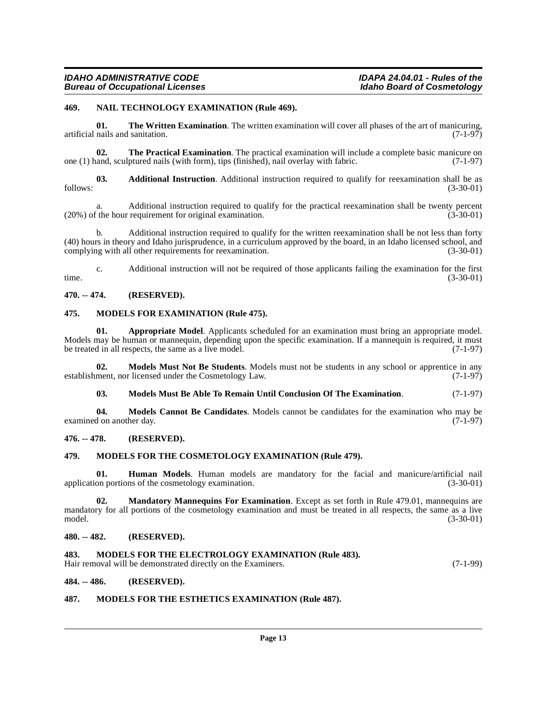#### <span id="page-12-18"></span><span id="page-12-0"></span>**469. NAIL TECHNOLOGY EXAMINATION (Rule 469).**

**01.** The Written Examination. The written examination will cover all phases of the art of manicuring, artificial nails and sanitation. (7-1-97)

**02. The Practical Examination**. The practical examination will include a complete basic manicure on and, sculptured nails (with form), tips (finished), nail overlay with fabric. (7-1-97) one  $(1)$  hand, sculptured nails (with form), tips (finished), nail overlay with fabric.

**03. Additional Instruction**. Additional instruction required to qualify for reexamination shall be as follows: (3-30-01)

a. Additional instruction required to qualify for the practical reexamination shall be twenty percent (3-30-01)  $(3-30-01)$  $(20\%)$  of the hour requirement for original examination.

b. Additional instruction required to qualify for the written reexamination shall be not less than forty (40) hours in theory and Idaho jurisprudence, in a curriculum approved by the board, in an Idaho licensed school, and complying with all other requirements for reexamination.

c. Additional instruction will not be required of those applicants failing the examination for the first time. (3-30-01)

### <span id="page-12-1"></span>**470. -- 474. (RESERVED).**

#### <span id="page-12-12"></span><span id="page-12-2"></span>**475. MODELS FOR EXAMINATION (Rule 475).**

<span id="page-12-9"></span>**01. Appropriate Model**. Applicants scheduled for an examination must bring an appropriate model. Models may be human or mannequin, depending upon the specific examination. If a mannequin is required, it must<br>be treated in all respects, the same as a live model. be treated in all respects, the same as a live model.

**02. Models Must Not Be Students**. Models must not be students in any school or apprentice in any ment, nor licensed under the Cosmetology Law. (7-1-97) establishment, nor licensed under the Cosmetology Law.

<span id="page-12-17"></span><span id="page-12-16"></span><span id="page-12-11"></span>**03. Models Must Be Able To Remain Until Conclusion Of The Examination**. (7-1-97)

**04. Models Cannot Be Candidates**. Models cannot be candidates for the examination who may be d on another day. (7-1-97) examined on another day.

#### <span id="page-12-3"></span>**476. -- 478. (RESERVED).**

#### <span id="page-12-13"></span><span id="page-12-4"></span>**479. MODELS FOR THE COSMETOLOGY EXAMINATION (Rule 479).**

**01. Human Models**. Human models are mandatory for the facial and manicure/artificial nail application portions of the cosmetology examination. (3-30-01)

<span id="page-12-10"></span>**02. Mandatory Mannequins For Examination**. Except as set forth in Rule 479.01, mannequins are mandatory for all portions of the cosmetology examination and must be treated in all respects, the same as a live model. (3-30-01)

#### <span id="page-12-5"></span>**480. -- 482. (RESERVED).**

#### <span id="page-12-14"></span><span id="page-12-6"></span>**483. MODELS FOR THE ELECTROLOGY EXAMINATION (Rule 483).**

Hair removal will be demonstrated directly on the Examiners. (7-1-99)

#### <span id="page-12-7"></span>**484. -- 486. (RESERVED).**

#### <span id="page-12-15"></span><span id="page-12-8"></span>**487. MODELS FOR THE ESTHETICS EXAMINATION (Rule 487).**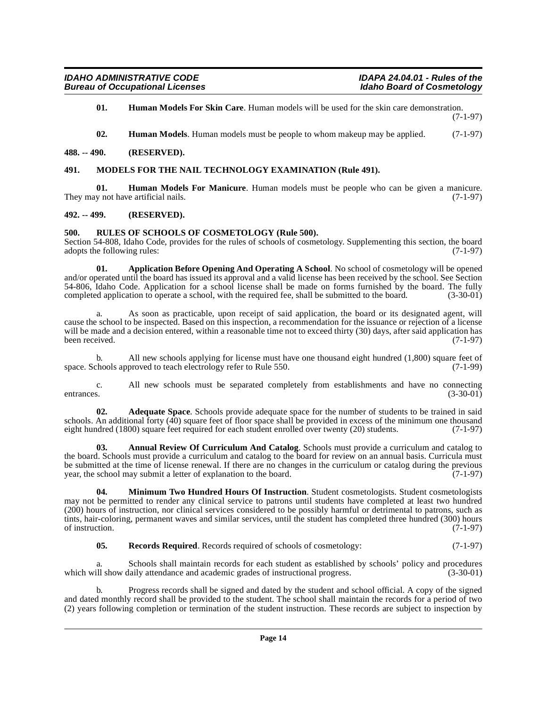<span id="page-13-8"></span>**01. Human Models For Skin Care**. Human models will be used for the skin care demonstration. (7-1-97)

<span id="page-13-11"></span><span id="page-13-9"></span><span id="page-13-7"></span>**02. Human Models**. Human models must be people to whom makeup may be applied. (7-1-97)

#### <span id="page-13-0"></span>**488. -- 490. (RESERVED).**

#### <span id="page-13-1"></span>**491. MODELS FOR THE NAIL TECHNOLOGY EXAMINATION (Rule 491).**

**01. Human Models For Manicure**. Human models must be people who can be given a manicure.<br>y not have artificial nails. (7-1-97) They may not have artificial nails.

#### <span id="page-13-2"></span>**492. -- 499. (RESERVED).**

#### <span id="page-13-13"></span><span id="page-13-3"></span>**500. RULES OF SCHOOLS OF COSMETOLOGY (Rule 500).**

Section 54-808, Idaho Code, provides for the rules of schools of cosmetology. Supplementing this section, the board adopts the following rules: (7-1-97) adopts the following rules:

<span id="page-13-6"></span>**01. Application Before Opening And Operating A School**. No school of cosmetology will be opened and/or operated until the board has issued its approval and a valid license has been received by the school. See Section 54-806, Idaho Code. Application for a school license shall be made on forms furnished by the board. The fully completed application to operate a school, with the required fee, shall be submitted to the board. (3-30-01) completed application to operate a school, with the required fee, shall be submitted to the board.

As soon as practicable, upon receipt of said application, the board or its designated agent, will cause the school to be inspected. Based on this inspection, a recommendation for the issuance or rejection of a license will be made and a decision entered, within a reasonable time not to exceed thirty (30) days, after said application has been received. (7-1-97) been received.

b. All new schools applying for license must have one thousand eight hundred (1,800) square feet of chools approved to teach electrology refer to Rule 550. (7-1-99) space. Schools approved to teach electrology refer to Rule 550.

c. All new schools must be separated completely from establishments and have no connecting entrances. (3-30-01) entrances. (3-30-01)

<span id="page-13-4"></span>**02. Adequate Space**. Schools provide adequate space for the number of students to be trained in said schools. An additional forty (40) square feet of floor space shall be provided in excess of the minimum one thousand eight hundred (1800) square feet required for each student enrolled over twenty (20) students. (7-1-97) eight hundred (1800) square feet required for each student enrolled over twenty (20) students.

<span id="page-13-5"></span>**03. Annual Review Of Curriculum And Catalog**. Schools must provide a curriculum and catalog to the board. Schools must provide a curriculum and catalog to the board for review on an annual basis. Curricula must be submitted at the time of license renewal. If there are no changes in the curriculum or catalog during the previous year, the school may submit a letter of explanation to the board. (7-1-97) year, the school may submit a letter of explanation to the board.

<span id="page-13-10"></span>**04. Minimum Two Hundred Hours Of Instruction**. Student cosmetologists. Student cosmetologists may not be permitted to render any clinical service to patrons until students have completed at least two hundred (200) hours of instruction, nor clinical services considered to be possibly harmful or detrimental to patrons, such as tints, hair-coloring, permanent waves and similar services, until the student has completed three hundred (300) hours of instruction.  $(7-1-97)$ 

<span id="page-13-12"></span>**05. Records Required**. Records required of schools of cosmetology: (7-1-97)

Schools shall maintain records for each student as established by schools' policy and procedures<br>
(3-30-01) alily attendance and academic grades of instructional progress. which will show daily attendance and academic grades of instructional progress.

b. Progress records shall be signed and dated by the student and school official. A copy of the signed and dated monthly record shall be provided to the student. The school shall maintain the records for a period of two (2) years following completion or termination of the student instruction. These records are subject to inspection by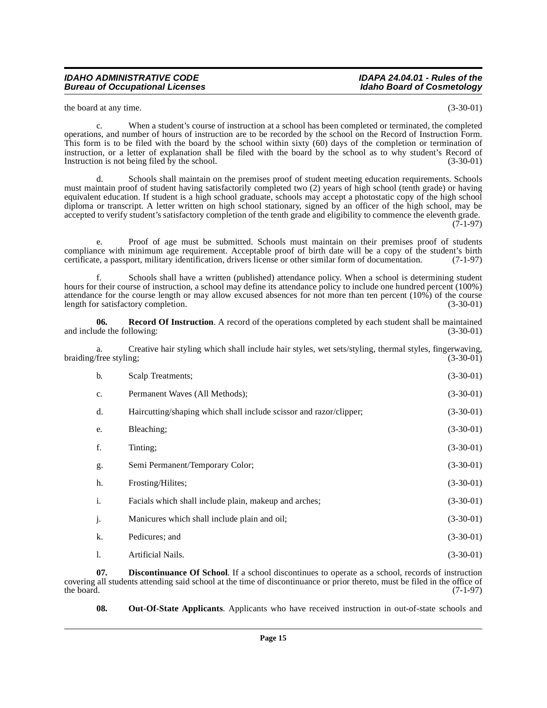the board at any time. (3-30-01)

c. When a student's course of instruction at a school has been completed or terminated, the completed operations, and number of hours of instruction are to be recorded by the school on the Record of Instruction Form. This form is to be filed with the board by the school within sixty (60) days of the completion or termination of instruction, or a letter of explanation shall be filed with the board by the school as to why student's Record of Instruction is not being filed by the school. (3-30-01) Instruction is not being filed by the school.

d. Schools shall maintain on the premises proof of student meeting education requirements. Schools must maintain proof of student having satisfactorily completed two (2) years of high school (tenth grade) or having equivalent education. If student is a high school graduate, schools may accept a photostatic copy of the high school diploma or transcript. A letter written on high school stationary, signed by an officer of the high school, may be accepted to verify student's satisfactory completion of the tenth grade and eligibility to commence the eleventh grade.  $(7-1-97)$ 

e. Proof of age must be submitted. Schools must maintain on their premises proof of students compliance with minimum age requirement. Acceptable proof of birth date will be a copy of the student's birth certificate, a passport, military identification, drivers license or other similar form of documentation.  $(7-1$ certificate, a passport, military identification, drivers license or other similar form of documentation.

Schools shall have a written (published) attendance policy. When a school is determining student hours for their course of instruction, a school may define its attendance policy to include one hundred percent (100%) attendance for the course length or may allow excused absences for not more than ten percent  $(10\%)$  of the course length for satisfactory completion.  $(3-30-01)$ length for satisfactory completion.

<span id="page-14-2"></span>**06.** Record Of Instruction. A record of the operations completed by each student shall be maintained ude the following: (3-30-01) and include the following:

a. Creative hair styling which shall include hair styles, wet sets/styling, thermal styles, fingerwaving, braiding/free styling; (3-30-01) (3-30-01)

| $\mathbf{b}$ . | Scalp Treatments;                                                  | $(3-30-01)$ |
|----------------|--------------------------------------------------------------------|-------------|
| c.             | Permanent Waves (All Methods);                                     | $(3-30-01)$ |
| d.             | Haircutting/shaping which shall include scissor and razor/clipper; | $(3-30-01)$ |
| e.             | Bleaching;                                                         | $(3-30-01)$ |
| f.             | Tinting;                                                           | $(3-30-01)$ |
| g.             | Semi Permanent/Temporary Color;                                    | $(3-30-01)$ |
| h.             | Frosting/Hilites;                                                  | $(3-30-01)$ |
| i.             | Facials which shall include plain, makeup and arches;              | $(3-30-01)$ |
| j.             | Manicures which shall include plain and oil;                       | $(3-30-01)$ |
| k.             | Pedicures; and                                                     | $(3-30-01)$ |
| 1.             | Artificial Nails.                                                  | $(3-30-01)$ |

**07. Discontinuance Of School**. If a school discontinues to operate as a school, records of instruction covering all students attending said school at the time of discontinuance or prior thereto, must be filed in the office of the board. (7-1-97) the board.  $(7-1-97)$ 

<span id="page-14-1"></span><span id="page-14-0"></span>**08.** Out-Of-State Applicants. Applicants who have received instruction in out-of-state schools and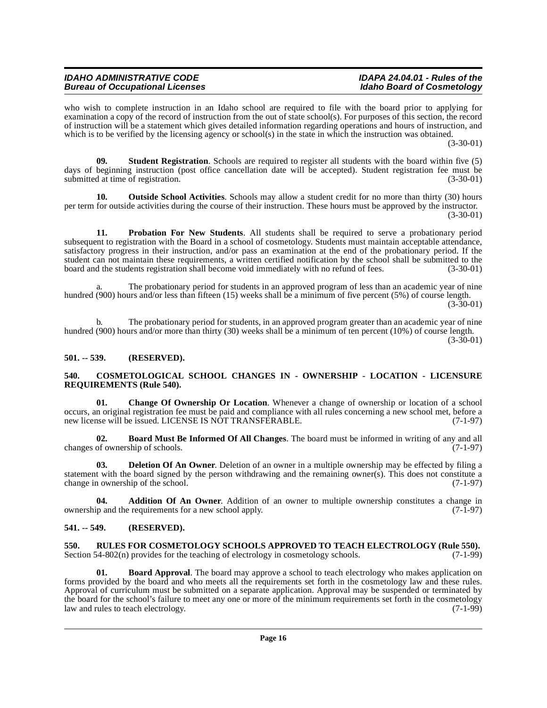who wish to complete instruction in an Idaho school are required to file with the board prior to applying for examination a copy of the record of instruction from the out of state school(s). For purposes of this section, the record of instruction will be a statement which gives detailed information regarding operations and hours of instruction, and which is to be verified by the licensing agency or school(s) in the state in which the instruction was obtained.

(3-30-01)

<span id="page-15-12"></span>**09. Student Registration**. Schools are required to register all students with the board within five (5) days of beginning instruction (post office cancellation date will be accepted). Student registration fee must be submitted at time of registration. (3-30-01)

<span id="page-15-10"></span>**10. Outside School Activities**. Schools may allow a student credit for no more than thirty (30) hours per term for outside activities during the course of their instruction. These hours must be approved by the instructor. (3-30-01)

**11. Probation For New Students**. All students shall be required to serve a probationary period subsequent to registration with the Board in a school of cosmetology. Students must maintain acceptable attendance, satisfactory progress in their instruction, and/or pass an examination at the end of the probationary period. If the student can not maintain these requirements, a written certified notification by the school shall be submitted to the board and the students registration shall become void immediately with no refund of fees. (3-30-01)

The probationary period for students in an approved program of less than an academic year of nine hundred (900) hours and/or less than fifteen (15) weeks shall be a minimum of five percent (5%) of course length.  $(3-30-01)$ 

b. The probationary period for students, in an approved program greater than an academic year of nine hundred (900) hours and/or more than thirty (30) weeks shall be a minimum of ten percent (10%) of course length. (3-30-01)

## <span id="page-15-0"></span>**501. -- 539. (RESERVED).**

#### <span id="page-15-8"></span><span id="page-15-1"></span>**540. COSMETOLOGICAL SCHOOL CHANGES IN - OWNERSHIP - LOCATION - LICENSURE REQUIREMENTS (Rule 540).**

<span id="page-15-7"></span>**01. Change Of Ownership Or Location**. Whenever a change of ownership or location of a school occurs, an original registration fee must be paid and compliance with all rules concerning a new school met, before a new license will be issued. LICENSE IS NOT TRANSFERABLE.

<span id="page-15-6"></span>**02. Board Must Be Informed Of All Changes**. The board must be informed in writing of any and all changes of ownership of schools.

<span id="page-15-9"></span>**03. Deletion Of An Owner**. Deletion of an owner in a multiple ownership may be effected by filing a statement with the board signed by the person withdrawing and the remaining owner(s). This does not constitute a change in ownership of the school. (7-1-97)

<span id="page-15-4"></span>**04. Addition Of An Owner**. Addition of an owner to multiple ownership constitutes a change in and the requirements for a new school apply. (7-1-97) ownership and the requirements for a new school apply.

## <span id="page-15-2"></span>**541. -- 549. (RESERVED).**

<span id="page-15-11"></span><span id="page-15-3"></span>**550.** RULES FOR COSMETOLOGY SCHOOLS APPROVED TO TEACH ELECTROLOGY (Rule 550). Section 54-802(n) provides for the teaching of electrology in cosmetology schools. (7-1-99) Section 54-802(n) provides for the teaching of electrology in cosmetology schools.

<span id="page-15-5"></span>**01. Board Approval**. The board may approve a school to teach electrology who makes application on forms provided by the board and who meets all the requirements set forth in the cosmetology law and these rules. Approval of curriculum must be submitted on a separate application. Approval may be suspended or terminated by the board for the school's failure to meet any one or more of the minimum requirements set forth in the cosmetology<br>(7-1-99) law and rules to teach electrology. law and rules to teach electrology.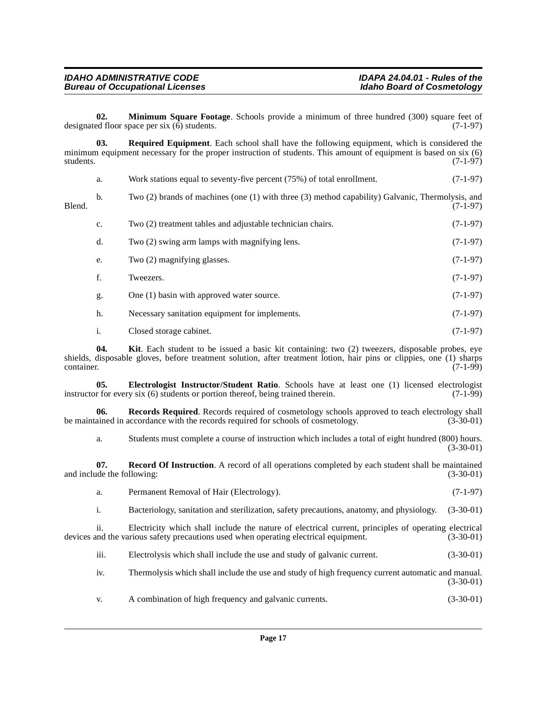<span id="page-16-2"></span>**02. Minimum Square Footage**. Schools provide a minimum of three hundred (300) square feet of ed floor space per six (6) students. designated floor space per six  $(6)$  students.

<span id="page-16-5"></span>**03. Required Equipment**. Each school shall have the following equipment, which is considered the minimum equipment necessary for the proper instruction of students. This amount of equipment is based on six (6) students. (7-1-97) students. (7-1-97)

|        | a. | Work stations equal to seventy-five percent (75%) of total enrollment.                           | $(7-1-97)$ |
|--------|----|--------------------------------------------------------------------------------------------------|------------|
| Blend. | b. | Two (2) brands of machines (one (1) with three (3) method capability) Galvanic, Thermolysis, and | $(7-1-97)$ |
|        | c. | Two (2) treatment tables and adjustable technician chairs.                                       | $(7-1-97)$ |
|        | d. | Two (2) swing arm lamps with magnifying lens.                                                    | $(7-1-97)$ |
|        | e. | Two (2) magnifying glasses.                                                                      | $(7-1-97)$ |

- f. Tweezers.  $(7-1-97)$
- g. One (1) basin with approved water source. (7-1-97)
- h. Necessary sanitation equipment for implements. (7-1-97)
- <span id="page-16-1"></span><span id="page-16-0"></span>i. Closed storage cabinet. (7-1-97)

**04. Kit**. Each student to be issued a basic kit containing: two (2) tweezers, disposable probes, eye shields, disposable gloves, before treatment solution, after treatment lotion, hair pins or clippies, one (1) sharps container. (7-1-99) container. (7-1-99)

**05. Electrologist Instructor/Student Ratio**. Schools have at least one (1) licensed electrologist r for every six (6) students or portion thereof, being trained therein. (7-1-99) instructor for every six  $(6)$  students or portion thereof, being trained therein.

**06.** Records Required. Records required of cosmetology schools approved to teach electrology shall ained in accordance with the records required for schools of cosmetology. (3-30-01) be maintained in accordance with the records required for schools of cosmetology.

<span id="page-16-4"></span><span id="page-16-3"></span>a. Students must complete a course of instruction which includes a total of eight hundred (800) hours. (3-30-01)

**07. Record Of Instruction**. A record of all operations completed by each student shall be maintained ide the following: (3-30-01) and include the following:

|  | Permanent Removal of Hair (Electrology). | $(7-1-97)$ |
|--|------------------------------------------|------------|
|--|------------------------------------------|------------|

i. Bacteriology, sanitation and sterilization, safety precautions, anatomy, and physiology. (3-30-01)

ii. Electricity which shall include the nature of electrical current, principles of operating electrical devices and the various safety precautions used when operating electrical equipment. (3-30-01)

iii. Electrolysis which shall include the use and study of galvanic current. (3-30-01)

iv. Thermolysis which shall include the use and study of high frequency current automatic and manual. (3-30-01)

v. A combination of high frequency and galvanic currents. (3-30-01)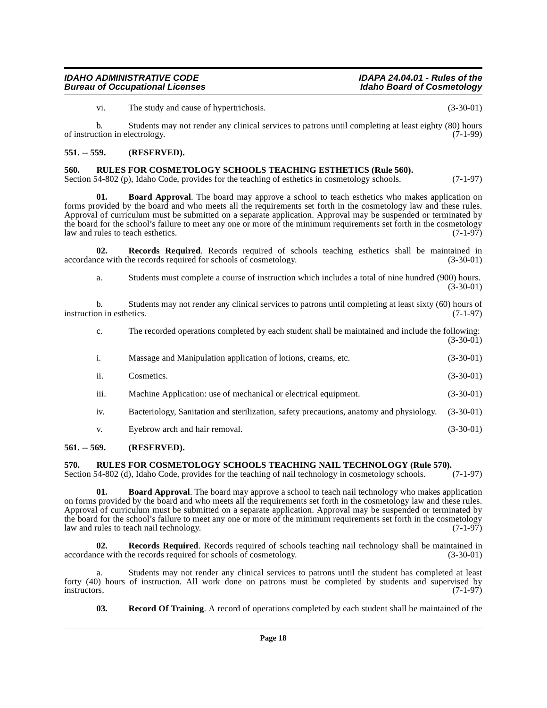vi. The study and cause of hypertrichosis. (3-30-01)

b. Students may not render any clinical services to patrons until completing at least eighty (80) hours of instruction in electrology. (7-1-99)

#### <span id="page-17-0"></span>**551. -- 559. (RESERVED).**

#### <span id="page-17-9"></span><span id="page-17-1"></span>**560. RULES FOR COSMETOLOGY SCHOOLS TEACHING ESTHETICS (Rule 560).**

Section 54-802 (p), Idaho Code, provides for the teaching of esthetics in cosmetology schools. (7-1-97)

<span id="page-17-4"></span>**01. Board Approval**. The board may approve a school to teach esthetics who makes application on forms provided by the board and who meets all the requirements set forth in the cosmetology law and these rules. Approval of curriculum must be submitted on a separate application. Approval may be suspended or terminated by the board for the school's failure to meet any one or more of the minimum requirements set forth in the cosmetology law and rules to teach esthetics. (7-1-97)

**02. Records Required**. Records required of schools teaching esthetics shall be maintained in ce with the records required for schools of cosmetology. (3-30-01) accordance with the records required for schools of cosmetology.

<span id="page-17-7"></span>a. Students must complete a course of instruction which includes a total of nine hundred (900) hours. (3-30-01)

b. Students may not render any clinical services to patrons until completing at least sixty (60) hours of on in esthetics. (7-1-97) instruction in esthetics.

c. The recorded operations completed by each student shall be maintained and include the following: (3-30-01)

|      | Massage and Manipulation application of lotions, creams, etc.                                     | $(3-30-01)$ |
|------|---------------------------------------------------------------------------------------------------|-------------|
| ii.  | Cosmetics.                                                                                        | $(3-30-01)$ |
| iii. | Machine Application: use of mechanical or electrical equipment.                                   | $(3-30-01)$ |
| iv.  | Bacteriology, Sanitation and sterilization, safety precautions, anatomy and physiology. (3-30-01) |             |

<span id="page-17-10"></span><span id="page-17-5"></span>v. Eyebrow arch and hair removal. (3-30-01)

#### <span id="page-17-2"></span>**561. -- 569. (RESERVED).**

# <span id="page-17-3"></span>**570.** RULES FOR COSMETOLOGY SCHOOLS TEACHING NAIL TECHNOLOGY (Rule 570).<br>Section 54-802 (d), Idaho Code, provides for the teaching of nail technology in cosmetology schools. (7-1-97)

Section 54-802 (d), Idaho Code, provides for the teaching of nail technology in cosmetology schools.

**01. Board Approval**. The board may approve a school to teach nail technology who makes application on forms provided by the board and who meets all the requirements set forth in the cosmetology law and these rules. Approval of curriculum must be submitted on a separate application. Approval may be suspended or terminated by the board for the school's failure to meet any one or more of the minimum requirements set forth in the cosmetology law and rules to teach nail technology. (7-1-97)

<span id="page-17-8"></span>**02. Records Required**. Records required of schools teaching nail technology shall be maintained in ce with the records required for schools of cosmetology. (3-30-01) accordance with the records required for schools of cosmetology.

a. Students may not render any clinical services to patrons until the student has completed at least forty (40) hours of instruction. All work done on patrons must be completed by students and supervised by instructors. (7-1-97) instructors. (7-1-97)

<span id="page-17-6"></span>**03. Record Of Training**. A record of operations completed by each student shall be maintained of the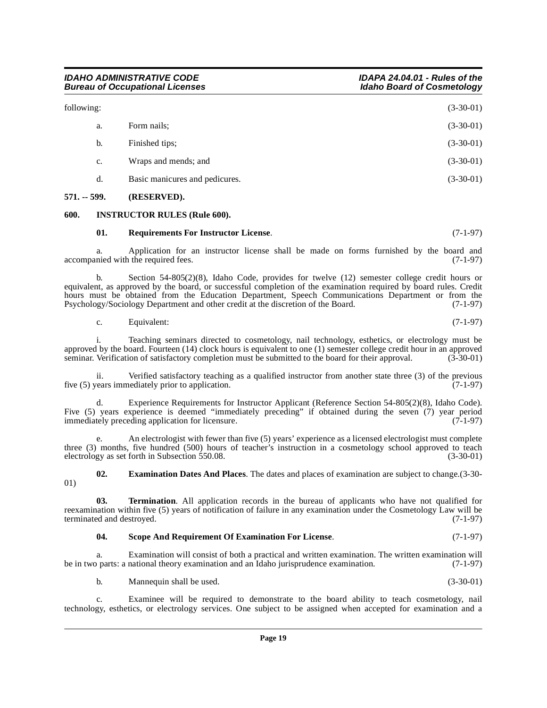| $571. - 599.$ | (RESERVED).                    |             |
|---------------|--------------------------------|-------------|
| d.            | Basic manicures and pedicures. | $(3-30-01)$ |
| c.            | Wraps and mends; and           | $(3-30-01)$ |
| b.            | Finished tips;                 | $(3-30-01)$ |
| a.            | Form nails;                    | $(3-30-01)$ |
| following:    |                                | $(3-30-01)$ |

#### <span id="page-18-1"></span><span id="page-18-0"></span>**600. INSTRUCTOR RULES (Rule 600).**

#### <span id="page-18-4"></span><span id="page-18-3"></span>**01. Requirements For Instructor License**. (7-1-97)

a. Application for an instructor license shall be made on forms furnished by the board and nied with the required fees. (7-1-97) accompanied with the required fees.

b. Section 54-805(2)(8), Idaho Code, provides for twelve (12) semester college credit hours or equivalent, as approved by the board, or successful completion of the examination required by board rules. Credit hours must be obtained from the Education Department, Speech Communications Department or from the Psychology/Sociology Department and other credit at the discretion of the Board. (7-1-97) Psychology/Sociology Department and other credit at the discretion of the Board.

c. Equivalent:  $(7-1-97)$ 

i. Teaching seminars directed to cosmetology, nail technology, esthetics, or electrology must be approved by the board. Fourteen (14) clock hours is equivalent to one (1) semester college credit hour in an approved seminar. Verification of satisfactory completion must be submitted to the board for their approval. (3-30-01)

ii. Verified satisfactory teaching as a qualified instructor from another state three (3) of the previous five (5) years immediately prior to application. (7-1-97)

d. Experience Requirements for Instructor Applicant (Reference Section 54-805(2)(8), Idaho Code). Five (5) years experience is deemed "immediately preceding" if obtained during the seven (7) year period immediately preceding application for licensure. (7-1-97) immediately preceding application for licensure.

e. An electrologist with fewer than five (5) years' experience as a licensed electrologist must complete three (3) months, five hundred (500) hours of teacher's instruction in a cosmetology school approved to teachere electrology as set forth in Subsection 550.08. (3-30-01) electrology as set forth in Subsection 550.08.

<span id="page-18-2"></span>**02. Examination Dates And Places**. The dates and places of examination are subject to change.(3-30- 01)

**03. Termination**. All application records in the bureau of applicants who have not qualified for reexamination within five (5) years of notification of failure in any examination under the Cosmetology Law will be terminated and destroyed. (7-1-97)

#### <span id="page-18-6"></span><span id="page-18-5"></span>**04. Scope And Requirement Of Examination For License**. (7-1-97)

a. Examination will consist of both a practical and written examination. The written examination will be in two parts: a national theory examination and an Idaho jurisprudence examination. (7-1-97)

b. Mannequin shall be used. (3-30-01)

c. Examinee will be required to demonstrate to the board ability to teach cosmetology, nail technology, esthetics, or electrology services. One subject to be assigned when accepted for examination and a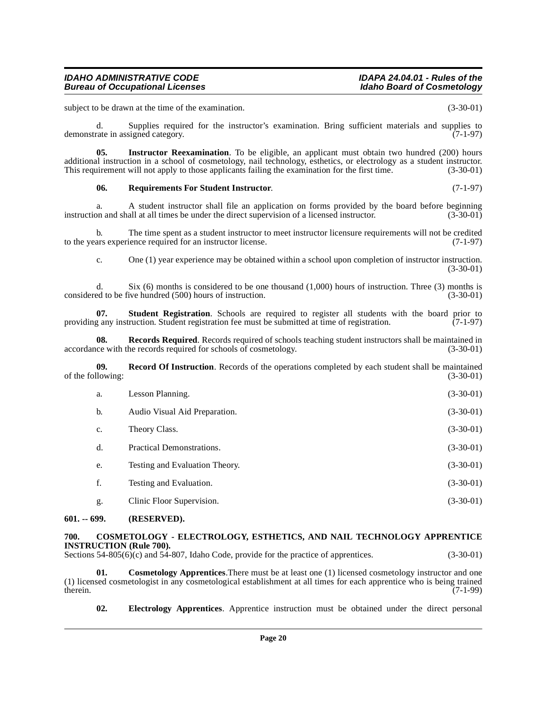# a. A student instructor shall file an application on forms provided by the board before beginning<br>on and shall at all times be under the direct supervision of a licensed instructor. (3-30-01) instruction and shall at all times be under the direct supervision of a licensed instructor.

b. The time spent as a student instructor to meet instructor licensure requirements will not be credited ars experience required for an instructor license. (7-1-97) to the years experience required for an instructor license.

<span id="page-19-8"></span>c. One (1) year experience may be obtained within a school upon completion of instructor instruction. (3-30-01)

d. Supplies required for the instructor's examination. Bring sufficient materials and supplies to rate in assigned category. (7-1-97)

<span id="page-19-5"></span>**05.** Instructor Reexamination. To be eligible, an applicant must obtain two hundred (200) hours

<span id="page-19-7"></span>**06. Requirements For Student Instructor**. (7-1-97)

d. Six (6) months is considered to be one thousand  $(1,000)$  hours of instruction. Three (3) months is ed to be five hundred (500) hours of instruction.  $(3-30-01)$ considered to be five hundred (500) hours of instruction.

**07. Student Registration**. Schools are required to register all students with the board prior to providing any instruction. Student registration fee must be submitted at time of registration. (7-1-97)

**08. Records Required**. Records required of schools teaching student instructors shall be maintained in ce with the records required for schools of cosmetology. (3-30-01) accordance with the records required for schools of cosmetology.

**09.** Record Of Instruction. Records of the operations completed by each student shall be maintained llowing: (3-30-01) of the following:

<span id="page-19-6"></span>

| a. | Lesson Planning.               | $(3-30-01)$ |
|----|--------------------------------|-------------|
| b. | Audio Visual Aid Preparation.  | $(3-30-01)$ |
| c. | Theory Class.                  | $(3-30-01)$ |
| d. | Practical Demonstrations.      | $(3-30-01)$ |
| e. | Testing and Evaluation Theory. | $(3-30-01)$ |
| f. | Testing and Evaluation.        | $(3-30-01)$ |
| g. | Clinic Floor Supervision.      | $(3-30-01)$ |
|    |                                |             |

# <span id="page-19-0"></span>**601. -- 699. (RESERVED).**

# <span id="page-19-2"></span><span id="page-19-1"></span>**700. COSMETOLOGY - ELECTROLOGY, ESTHETICS, AND NAIL TECHNOLOGY APPRENTICE INSTRUCTION (Rule 700).**

Sections 54-805(6)(c) and 54-807, Idaho Code, provide for the practice of apprentices. (3-30-01)

**01. Cosmetology Apprentices**.There must be at least one (1) licensed cosmetology instructor and one (1) licensed cosmetologist in any cosmetological establishment at all times for each apprentice who is being trained therein.  $(7-1-99)$ therein. (7-1-99)

<span id="page-19-4"></span><span id="page-19-3"></span>**02. Electrology Apprentices**. Apprentice instruction must be obtained under the direct personal

**IDAHO ADMINISTRATIVE CODE IDAPA 24.04.01 - Rules of the**

subject to be drawn at the time of the examination. (3-30-01)

**Bureau of Occupational Licenses** 

demonstrate in assigned category.

additional instruction in a school of cosmetology, nail technology, esthetics, or electrology as a student instructor. This requirement will not apply to those applicants failing the examination for the first time. (3-30-01)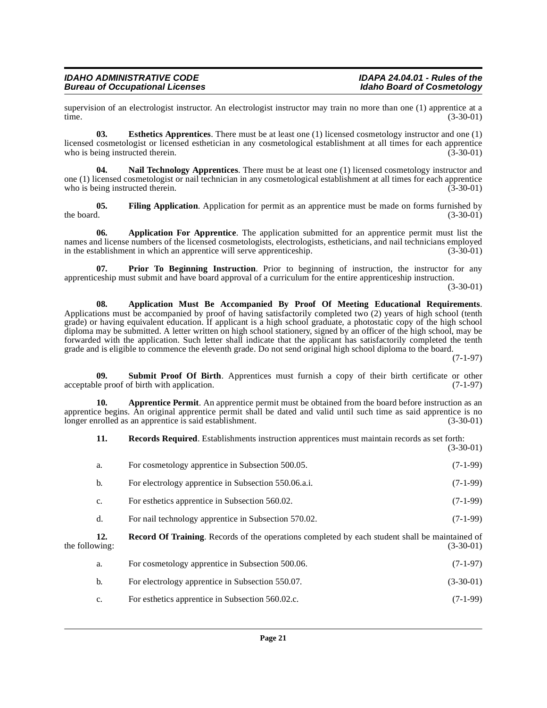supervision of an electrologist instructor. An electrologist instructor may train no more than one (1) apprentice at a time. time. (3-30-01)

<span id="page-20-3"></span>**03. Esthetics Apprentices**. There must be at least one (1) licensed cosmetology instructor and one (1) licensed cosmetologist or licensed esthetician in any cosmetological establishment at all times for each apprentice who is being instructed therein. (3-30-01)

<span id="page-20-5"></span>**04. Nail Technology Apprentices**. There must be at least one (1) licensed cosmetology instructor and one (1) licensed cosmetologist or nail technician in any cosmetological establishment at all times for each apprentice who is being instructed therein. (3-30-01)

<span id="page-20-4"></span>**05.** Filing Application. Application for permit as an apprentice must be made on forms furnished by the board. (3-30-01) the board.  $(3-30-01)$ 

<span id="page-20-0"></span>**06. Application For Apprentice**. The application submitted for an apprentice permit must list the names and license numbers of the licensed cosmetologists, electrologists, estheticians, and nail technicians employed<br>in the establishment in which an apprentice will serve apprenticeship. (3-30-01) in the establishment in which an apprentice will serve apprenticeship.

<span id="page-20-6"></span>**07. Prior To Beginning Instruction**. Prior to beginning of instruction, the instructor for any apprenticeship must submit and have board approval of a curriculum for the entire apprenticeship instruction.

(3-30-01)

<span id="page-20-1"></span>**08. Application Must Be Accompanied By Proof Of Meeting Educational Requirements**. Applications must be accompanied by proof of having satisfactorily completed two (2) years of high school (tenth grade) or having equivalent education. If applicant is a high school graduate, a photostatic copy of the high school diploma may be submitted. A letter written on high school stationery, signed by an officer of the high school, may be forwarded with the application. Such letter shall indicate that the applicant has satisfactorily completed the tenth grade and is eligible to commence the eleventh grade. Do not send original high school diploma to the board.

(7-1-97)

<span id="page-20-8"></span>**09. Submit Proof Of Birth**. Apprentices must furnish a copy of their birth certificate or other acceptable proof of birth with application. (7-1-97)

**10. Apprentice Permit**. An apprentice permit must be obtained from the board before instruction as an apprentice begins. An original apprentice permit shall be dated and valid until such time as said apprentice is no longer enrolled as an apprentice is said establishment. (3-30-01)

<span id="page-20-2"></span>**11. Records Required**. Establishments instruction apprentices must maintain records as set forth: (3-30-01)

<span id="page-20-7"></span>

|                | a.  | For cosmetology apprentice in Subsection 500.05.                                               | $(7-1-99)$  |
|----------------|-----|------------------------------------------------------------------------------------------------|-------------|
|                | b.  | For electrology apprentice in Subsection 550.06.a.i.                                           | $(7-1-99)$  |
|                | c.  | For esthetics apprentice in Subsection 560.02.                                                 | $(7-1-99)$  |
|                | d.  | For nail technology apprentice in Subsection 570.02.                                           | $(7-1-99)$  |
| the following: | 12. | Record Of Training. Records of the operations completed by each student shall be maintained of | $(3-30-01)$ |
|                | a.  | For cosmetology apprentice in Subsection 500.06.                                               | $(7-1-97)$  |
|                | b.  | For electrology apprentice in Subsection 550.07.                                               | $(3-30-01)$ |
|                | c.  | For esthetics apprentice in Subsection 560.02.c.                                               | $(7-1-99)$  |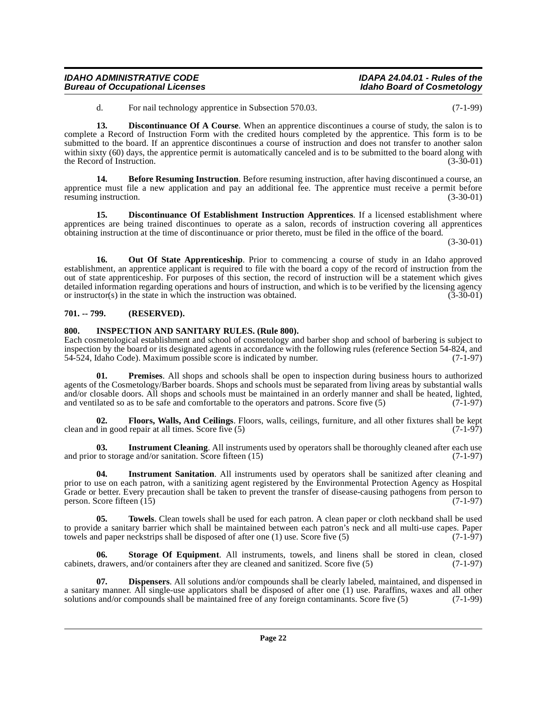## apprentices are being trained discontinues to operate as a salon, records of instruction covering all apprentices obtaining instruction at the time of discontinuance or prior thereto, must be filed in the office of the board.

(3-30-01)

**16. Out Of State Apprenticeship**. Prior to commencing a course of study in an Idaho approved establishment, an apprentice applicant is required to file with the board a copy of the record of instruction from the out of state apprenticeship. For purposes of this section, the record of instruction will be a statement which gives detailed information regarding operations and hours of instruction, and which is to be verified by the licensing agency<br>or instructor(s) in the state in which the instruction was obtained. (3-30-01) or instructor $(s)$  in the state in which the instruction was obtained.

<span id="page-21-3"></span>**13. Discontinuance Of A Course**. When an apprentice discontinues a course of study, the salon is to

<span id="page-21-2"></span>**14. Before Resuming Instruction**. Before resuming instruction, after having discontinued a course, an

<span id="page-21-10"></span><span id="page-21-4"></span>**15. Discontinuance Of Establishment Instruction Apprentices**. If a licensed establishment where

complete a Record of Instruction Form with the credited hours completed by the apprentice. This form is to be submitted to the board. If an apprentice discontinues a course of instruction and does not transfer to another salon within sixty (60) days, the apprentice permit is automatically canceled and is to be submitted to the board along with the Record of Instruction. (3-30-01)

apprentice must file a new application and pay an additional fee. The apprentice must receive a permit before resuming instruction. (3-30-01)

# <span id="page-21-0"></span>**701. -- 799. (RESERVED).**

**Bureau of Occupational Licenses** 

the Record of Instruction.

resuming instruction.

## <span id="page-21-7"></span><span id="page-21-1"></span>**800. INSPECTION AND SANITARY RULES. (Rule 800).**

Each cosmetological establishment and school of cosmetology and barber shop and school of barbering is subject to inspection by the board or its designated agents in accordance with the following rules (reference Section 54-824, and 54-524, Idaho Code). Maximum possible score is indicated by number. (7-1-97)

<span id="page-21-11"></span>**01. Premises**. All shops and schools shall be open to inspection during business hours to authorized agents of the Cosmetology/Barber boards. Shops and schools must be separated from living areas by substantial walls and/or closable doors. All shops and schools must be maintained in an orderly manner and shall be heated, lighted, and ventilated so as to be safe and comfortable to the operators and patrons. Score five (5) (7-1-97)

<span id="page-21-6"></span>**02. Floors, Walls, And Ceilings**. Floors, walls, ceilings, furniture, and all other fixtures shall be kept clean and in good repair at all times. Score five  $(5)$ 

<span id="page-21-8"></span>**03.** Instrument Cleaning. All instruments used by operators shall be thoroughly cleaned after each use to storage and/or sanitation. Score fifteen (15) (7-1-97) and prior to storage and/or sanitation. Score fifteen  $(15)$ 

<span id="page-21-9"></span>**04. Instrument Sanitation**. All instruments used by operators shall be sanitized after cleaning and prior to use on each patron, with a sanitizing agent registered by the Environmental Protection Agency as Hospital Grade or better. Every precaution shall be taken to prevent the transfer of disease-causing pathogens from person to person. Score fifteen (15) (7-1-97) person. Score fifteen (15)

<span id="page-21-13"></span>**05. Towels**. Clean towels shall be used for each patron. A clean paper or cloth neckband shall be used to provide a sanitary barrier which shall be maintained between each patron's neck and all multi-use capes. Paper towels and paper neckstrips shall be disposed of after one  $(1)$  use. Score five  $(5)$  (7-1-97)

<span id="page-21-12"></span>**06. Storage Of Equipment**. All instruments, towels, and linens shall be stored in clean, closed cabinets, drawers, and/or containers after they are cleaned and sanitized. Score five (5) (7-1-97)

<span id="page-21-5"></span>**07. Dispensers**. All solutions and/or compounds shall be clearly labeled, maintained, and dispensed in a sanitary manner. All single-use applicators shall be disposed of after one (1) use. Paraffins, waxes and all other solutions and/or compounds shall be maintained free of any foreign contaminants. Score five (5)  $(7-1-99$ solutions and/or compounds shall be maintained free of any foreign contaminants. Score five (5)

**IDAHO ADMINISTRATIVE CODE IDAPA 24.04.01 - Rules of the**

d. For nail technology apprentice in Subsection 570.03. (7-1-99)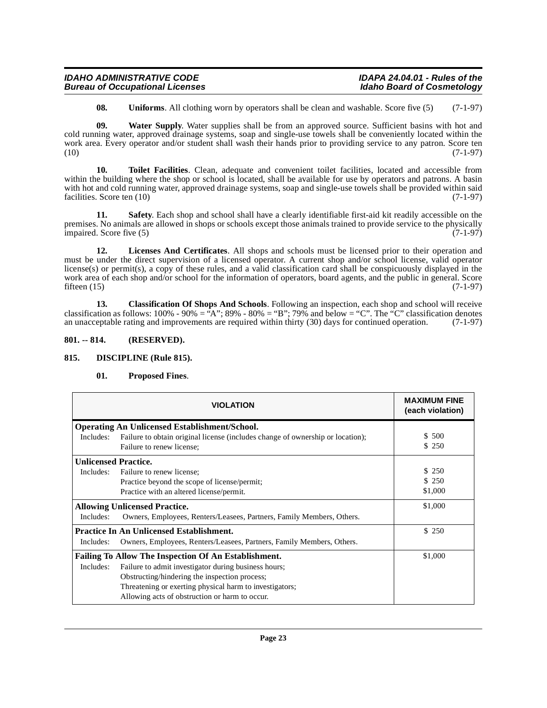| <b>IDAHO ADMINISTRATIVE CODE</b>       | IDAPA 24.04.01 - Rules of the     |
|----------------------------------------|-----------------------------------|
| <b>Bureau of Occupational Licenses</b> | <b>Idaho Board of Cosmetology</b> |

<span id="page-22-9"></span><span id="page-22-8"></span><span id="page-22-7"></span>**08.** Uniforms. All clothing worn by operators shall be clean and washable. Score five (5) (7-1-97)

**09. Water Supply**. Water supplies shall be from an approved source. Sufficient basins with hot and cold running water, approved drainage systems, soap and single-use towels shall be conveniently located within the work area. Every operator and/or student shall wash their hands prior to providing service to any patron. Score ten  $(10)$   $(7-1-97)$ 

**10. Toilet Facilities**. Clean, adequate and convenient toilet facilities, located and accessible from within the building where the shop or school is located, shall be available for use by operators and patrons. A basin with hot and cold running water, approved drainage systems, soap and single-use towels shall be provided within said facilities. Score ten (10) (7-1-97) facilities. Score ten  $(10)$ 

<span id="page-22-6"></span>**11. Safety**. Each shop and school shall have a clearly identifiable first-aid kit readily accessible on the premises. No animals are allowed in shops or schools except those animals trained to provide service to the physically impaired. Score five (5) (7-1-97)

<span id="page-22-4"></span>**12. Licenses And Certificates**. All shops and schools must be licensed prior to their operation and must be under the direct supervision of a licensed operator. A current shop and/or school license, valid operator license(s) or permit(s), a copy of these rules, and a valid classification card shall be conspicuously displayed in the work area of each shop and/or school for the information of operators, board agents, and the public in general. Score fifteen (15) (7-1-97) fifteen  $(15)$  (7-1-97)

<span id="page-22-2"></span>**13. Classification Of Shops And Schools**. Following an inspection, each shop and school will receive classification as follows:  $100\%$  -  $90\%$  =  $\cdot$ <sup>2</sup>A";  $89\%$  -  $80\%$  =  $\cdot$ <sup>4</sup>B";  $79\%$  and below =  $\cdot$ °C". The  $\cdot$ <sup>c</sup>C" classification denotes an unacceptable rating and improvements are required within thirty (30) days for continued operation. (7-1-97)

## <span id="page-22-0"></span>**801. -- 814. (RESERVED).**

## <span id="page-22-1"></span>**815. DISCIPLINE (Rule 815).**

## <span id="page-22-5"></span><span id="page-22-3"></span>**01. Proposed Fines**.

|                                                             | <b>VIOLATION</b>                                                                                            | <b>MAXIMUM FINE</b><br>(each violation) |  |
|-------------------------------------------------------------|-------------------------------------------------------------------------------------------------------------|-----------------------------------------|--|
|                                                             | <b>Operating An Unlicensed Establishment/School.</b>                                                        |                                         |  |
| Includes:                                                   | Failure to obtain original license (includes change of ownership or location);<br>Failure to renew license; | \$ 500<br>\$250                         |  |
|                                                             | <b>Unlicensed Practice.</b>                                                                                 |                                         |  |
| Includes:                                                   | Failure to renew license;                                                                                   | \$250                                   |  |
|                                                             | Practice beyond the scope of license/permit;                                                                | \$250                                   |  |
|                                                             | Practice with an altered license/permit.                                                                    | \$1,000                                 |  |
| <b>Allowing Unlicensed Practice.</b>                        |                                                                                                             | \$1,000                                 |  |
| Includes:                                                   | Owners, Employees, Renters/Leasees, Partners, Family Members, Others.                                       |                                         |  |
| <b>Practice In An Unlicensed Establishment.</b>             |                                                                                                             | \$250                                   |  |
| Includes:                                                   | Owners, Employees, Renters/Leasees, Partners, Family Members, Others.                                       |                                         |  |
| <b>Failing To Allow The Inspection Of An Establishment.</b> |                                                                                                             | \$1,000                                 |  |
| Includes:                                                   | Failure to admit investigator during business hours;                                                        |                                         |  |
|                                                             | Obstructing/hindering the inspection process;                                                               |                                         |  |
|                                                             | Threatening or exerting physical harm to investigators;                                                     |                                         |  |
|                                                             | Allowing acts of obstruction or harm to occur.                                                              |                                         |  |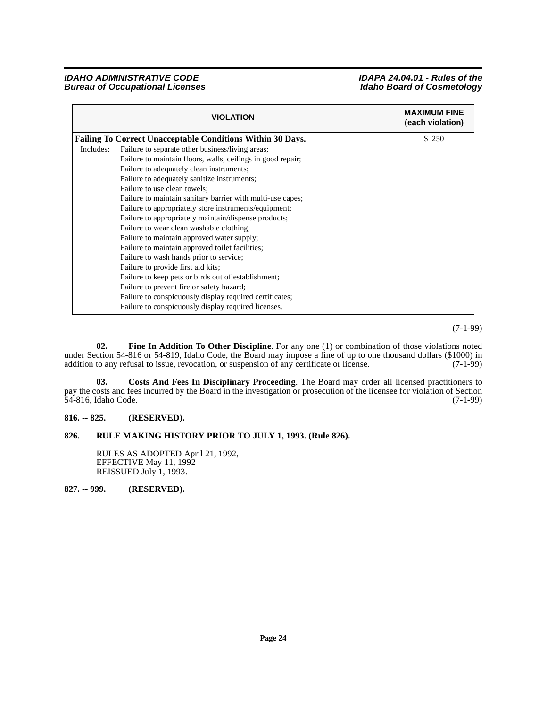**IDAHO ADMINISTRATIVE CODE EXAMPLE IDAPA 24.04.01 - Rules of the**<br>Bureau of Occupational Licenses **in the interval of the interval in the interval of Cosmetology Bureau of Occupational Licenses** 

|           | <b>VIOLATION</b>                                                  | <b>MAXIMUM FINE</b><br>(each violation) |
|-----------|-------------------------------------------------------------------|-----------------------------------------|
|           | <b>Failing To Correct Unacceptable Conditions Within 30 Days.</b> | \$250                                   |
| Includes: | Failure to separate other business/living areas;                  |                                         |
|           | Failure to maintain floors, walls, ceilings in good repair;       |                                         |
|           | Failure to adequately clean instruments;                          |                                         |
|           | Failure to adequately sanitize instruments;                       |                                         |
|           | Failure to use clean towels;                                      |                                         |
|           | Failure to maintain sanitary barrier with multi-use capes;        |                                         |
|           | Failure to appropriately store instruments/equipment;             |                                         |
|           | Failure to appropriately maintain/dispense products;              |                                         |
|           | Failure to wear clean washable clothing;                          |                                         |
|           | Failure to maintain approved water supply;                        |                                         |
|           | Failure to maintain approved toilet facilities;                   |                                         |
|           | Failure to wash hands prior to service;                           |                                         |
|           | Failure to provide first aid kits;                                |                                         |
|           | Failure to keep pets or birds out of establishment;               |                                         |
|           | Failure to prevent fire or safety hazard;                         |                                         |
|           | Failure to conspicuously display required certificates;           |                                         |
|           | Failure to conspicuously display required licenses.               |                                         |

(7-1-99)

<span id="page-23-4"></span>**02. Fine In Addition To Other Discipline**. For any one (1) or combination of those violations noted under Section 54-816 or 54-819, Idaho Code, the Board may impose a fine of up to one thousand dollars (\$1000) in addition to any refusal to issue, revocation, or suspension of any certificate or license. (7-1-99) addition to any refusal to issue, revocation, or suspension of any certificate or license.

<span id="page-23-3"></span>**03. Costs And Fees In Disciplinary Proceeding**. The Board may order all licensed practitioners to pay the costs and fees incurred by the Board in the investigation or prosecution of the licensee for violation of Section 54-816, Idaho Code. (7-1-99)

# <span id="page-23-0"></span>**816. -- 825. (RESERVED).**

## <span id="page-23-1"></span>**826. RULE MAKING HISTORY PRIOR TO JULY 1, 1993. (Rule 826).**

RULES AS ADOPTED April 21, 1992, EFFECTIVE May 11, 1992 REISSUED July 1, 1993.

<span id="page-23-2"></span>**827. -- 999. (RESERVED).**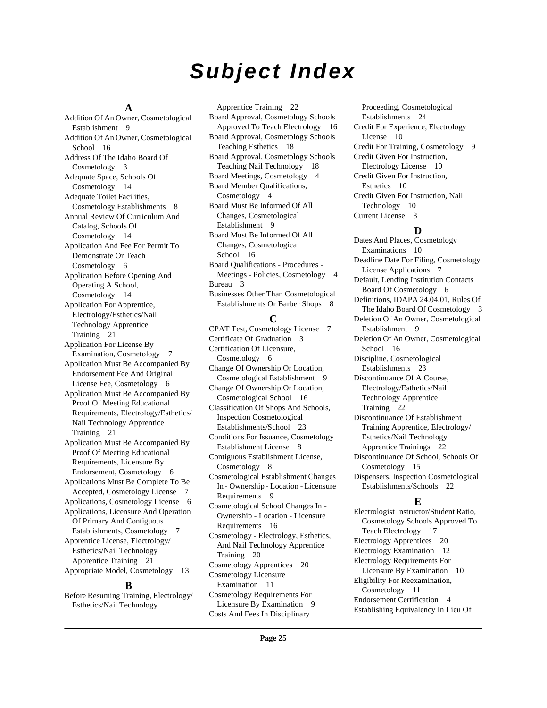# **Subject Index**

#### **A**

Addition Of An Owner, Cosmetological Establishment [9](#page-8-4) Addition Of An Owner, Cosmetological School [16](#page-15-4) Address Of The Idaho Board Of Cosmetology [3](#page-2-8) Adequate Space, Schools Of Cosmetology [14](#page-13-4) Adequate Toilet Facilities, Cosmetology Establishments [8](#page-7-0) Annual Review Of Curriculum And Catalog, Schools Of Cosmetology [14](#page-13-5) Application And Fee For Permit To Demonstrate Or Teach Cosmetology [6](#page-5-6) Application Before Opening And Operating A School, Cosmetology [14](#page-13-6) Application For Apprentice, Electrology/Esthetics/Nail Technology Apprentice Training [21](#page-20-0) Application For License By Examination, Cosmetology [7](#page-6-4) Application Must Be Accompanied By Endorsement Fee And Original License Fee, Cosmetology [6](#page-5-7) Application Must Be Accompanied By Proof Of Meeting Educational Requirements, Electrology/Esthetics/ Nail Technology Apprentice Training [21](#page-20-1) Application Must Be Accompanied By Proof Of Meeting Educational Requirements, Licensure By Endorsement, Cosmetology [6](#page-5-8) Applications Must Be Complete To Be Accepted, Cosmetology License [7](#page-6-5) Applications, Cosmetology License [6](#page-5-9) Applications, Licensure And Operation Of Primary And Contiguous Establishments, Cosmetology [7](#page-6-6) Apprentice License, Electrology/ Esthetics/Nail Technology Apprentice Training [21](#page-20-2) Appropriate Model, Cosmetology [13](#page-12-9)

## **B**

Before Resuming Training, Electrology/ Esthetics/Nail Technology

Apprentice Training [22](#page-21-2) Board Approval, Cosmetology Schools Approved To Teach Electrology [16](#page-15-5) Board Approval, Cosmetology Schools Teaching Esthetics [18](#page-17-4) Board Approval, Cosmetology Schools Teaching Nail Technology [18](#page-17-5) Board Meetings, Cosmetology [4](#page-3-2) Board Member Qualifications, Cosmetology [4](#page-3-3) Board Must Be Informed Of All Changes, Cosmetological Establishment [9](#page-8-5) Board Must Be Informed Of All Changes, Cosmetological School [16](#page-15-6) Board Qualifications - Procedures - Meetings - Policies, Cosmetology [4](#page-3-4) Bureau [3](#page-2-9) Businesses Other Than Cosmetological Establishments Or Barber Shops [8](#page-7-1)

## **C**

CPAT Test, Cosmetology License [7](#page-6-7) Certificate Of Graduation [3](#page-2-10) Certification Of Licensure, Cosmetology [6](#page-5-10) Change Of Ownership Or Location, Cosmetological Establishment [9](#page-8-6) Change Of Ownership Or Location, Cosmetological School [16](#page-15-7) Classification Of Shops And Schools, Inspection Cosmetological Establishments/School [23](#page-22-2) Conditions For Issuance, Cosmetology Establishment License [8](#page-7-2) Contiguous Establishment License, Cosmetology [8](#page-7-3) Cosmetological Establishment Changes In - Ownership - Location - Licensure Requirements [9](#page-8-7) Cosmetological School Changes In - Ownership - Location - Licensure Requirements [16](#page-15-8) Cosmetology - Electrology, Esthetics, And Nail Technology Apprentice Training [20](#page-19-2) Cosmetology Apprentices [20](#page-19-3) Cosmetology Licensure Examination [11](#page-10-1) Cosmetology Requirements For Licensure By Examination [9](#page-8-8) Costs And Fees In Disciplinary

Proceeding, Cosmetological Establishments [24](#page-23-3) Credit For Experience, Electrology License [10](#page-9-8) Credit For Training, Cosmetology [9](#page-8-9) Credit Given For Instruction, Electrology License [10](#page-9-9) Credit Given For Instruction, Esthetics [10](#page-9-10) Credit Given For Instruction, Nail Technology [10](#page-9-11) Current License [3](#page-2-11)

# **D**

Dates And Places, Cosmetology Examinations [10](#page-9-12) Deadline Date For Filing, Cosmetology License Applications [7](#page-6-8) Default, Lending Institution Contacts Board Of Cosmetology [6](#page-5-11) Definitions, IDAPA 24.04.01, Rules Of The Idaho Board Of Cosmetology [3](#page-2-12) Deletion Of An Owner, Cosmetological Establishment [9](#page-8-10) Deletion Of An Owner, Cosmetological School [16](#page-15-9) Discipline, Cosmetological Establishments [23](#page-22-3) Discontinuance Of A Course, Electrology/Esthetics/Nail Technology Apprentice Training [22](#page-21-3) Discontinuance Of Establishment Training Apprentice, Electrology/ Esthetics/Nail Technology Apprentice Trainings [22](#page-21-4) Discontinuance Of School, Schools Of Cosmetology [15](#page-14-0) Dispensers, Inspection Cosmetological Establishments/Schools [22](#page-21-5) **E**

Electrologist Instructor/Student Ratio, Cosmetology Schools Approved To Teach Electrology [17](#page-16-0) Electrology Apprentices [20](#page-19-4) Electrology Examination [12](#page-11-5) Electrology Requirements For Licensure By Examination [10](#page-9-13) Eligibility For Reexamination, Cosmetology [11](#page-10-2) Endorsement Certification [4](#page-3-5) Establishing Equivalency In Lieu Of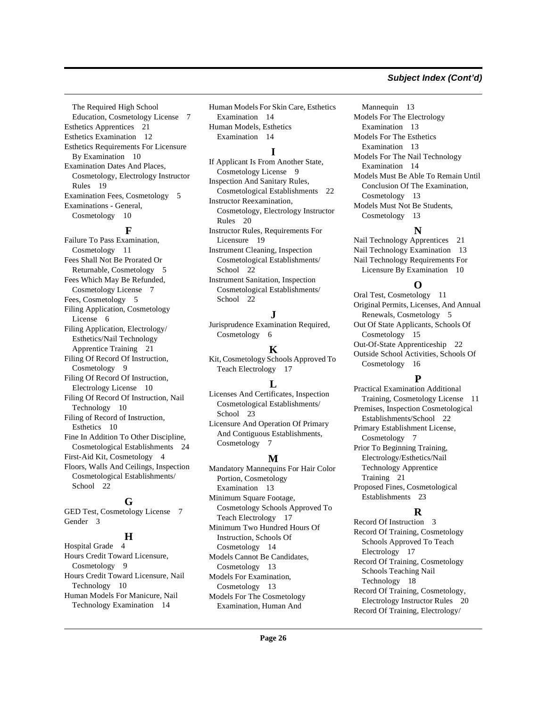#### The Required High School Education, Cosmetology License [7](#page-6-9) Esthetics Apprentices [21](#page-20-3) Esthetics Examination [12](#page-11-6) Esthetics Requirements For Licensure By Examination [10](#page-9-14) Examination Dates And Places, Cosmetology, Electrology Instructor Rules [19](#page-18-2) Examination Fees, Cosmetology [5](#page-4-2) Examinations - General, Cosmetology [10](#page-9-15)

# **F**

Failure To Pass Examination, Cosmetology [11](#page-10-3) Fees Shall Not Be Prorated Or Returnable, Cosmetology [5](#page-4-3) Fees Which May Be Refunded, Cosmetology License [7](#page-6-10) Fees, Cosmetology [5](#page-4-4) Filing Application, Cosmetology License [6](#page-5-12) Filing Application, Electrology/ Esthetics/Nail Technology Apprentice Training [21](#page-20-4) Filing Of Record Of Instruction, Cosmetology [9](#page-8-11) Filing Of Record Of Instruction, Electrology License [10](#page-9-16) Filing Of Record Of Instruction, Nail Technology [10](#page-9-17) Filing of Record of Instruction, Esthetics [10](#page-9-18) Fine In Addition To Other Discipline, Cosmetological Establishments [24](#page-23-4) First-Aid Kit, Cosmetology [4](#page-3-6) Floors, Walls And Ceilings, Inspection Cosmetological Establishments/ School [22](#page-21-6)

#### **G**

GED Test, Cosmetology License [7](#page-6-11) Gender [3](#page-2-13)

# **H**

Hospital Grade [4](#page-3-7) Hours Credit Toward Licensure, Cosmetology [9](#page-8-12) Hours Credit Toward Licensure, Nail Technology [10](#page-9-19) Human Models For Manicure, Nail Technology Examination [14](#page-13-7)

Human Models For Skin Care, Esthetics Examination [14](#page-13-8) Human Models, Esthetics Examination [14](#page-13-9)

# **I**

If Applicant Is From Another State, Cosmetology License [9](#page-8-13) Inspection And Sanitary Rules, Cosmetological Establishments [22](#page-21-7) Instructor Reexamination, Cosmetology, Electrology Instructor Rules [20](#page-19-5) Instructor Rules, Requirements For Licensure [19](#page-18-3) Instrument Cleaning, Inspection Cosmetological Establishments/ School [22](#page-21-8) Instrument Sanitation, Inspection Cosmetological Establishments/ School [22](#page-21-9)

# **J**

Jurisprudence Examination Required, Cosmetology [6](#page-5-13)

## **K**

Kit, Cosmetology Schools Approved To Teach Electrology [17](#page-16-1)

## **L**

Licenses And Certificates, Inspection Cosmetological Establishments/ School [23](#page-22-4) Licensure And Operation Of Primary

And Contiguous Establishments, Cosmetology [7](#page-6-12)

# **M**

Mandatory Mannequins For Hair Color Portion, Cosmetology Examination [13](#page-12-10) Minimum Square Footage, Cosmetology Schools Approved To Teach Electrology [17](#page-16-2) Minimum Two Hundred Hours Of Instruction, Schools Of Cosmetology [14](#page-13-10) Models Cannot Be Candidates, Cosmetology [13](#page-12-11) Models For Examination, Cosmetology [13](#page-12-12) Models For The Cosmetology Examination, Human And

#### Mannequin [13](#page-12-13) Models For The Electrology Examination [13](#page-12-14) Models For The Esthetics Examination [13](#page-12-15) Models For The Nail Technology Examination [14](#page-13-11) Models Must Be Able To Remain Until Conclusion Of The Examination, Cosmetology [13](#page-12-16) Models Must Not Be Students, Cosmetology [13](#page-12-17)

# **N**

Nail Technology Apprentices [21](#page-20-5) Nail Technology Examination [13](#page-12-18) Nail Technology Requirements For Licensure By Examination [10](#page-9-20)

# **O**

Oral Test, Cosmetology [11](#page-10-4) Original Permits, Licenses, And Annual Renewals, Cosmetology [5](#page-4-5) Out Of State Applicants, Schools Of Cosmetology [15](#page-14-1) Out-Of-State Apprenticeship [22](#page-21-10) Outside School Activities, Schools Of Cosmetology [16](#page-15-10)

# **P**

Practical Examination Additional Training, Cosmetology License [11](#page-10-5) Premises, Inspection Cosmetological Establishments/School [22](#page-21-11) Primary Establishment License, Cosmetology [7](#page-6-13) Prior To Beginning Training, Electrology/Esthetics/Nail Technology Apprentice Training [21](#page-20-6) Proposed Fines, Cosmetological Establishments [23](#page-22-5)

# **R**

Record Of Instruction [3](#page-2-14) Record Of Training, Cosmetology Schools Approved To Teach Electrology [17](#page-16-3) Record Of Training, Cosmetology Schools Teaching Nail Technology [18](#page-17-6) Record Of Training, Cosmetology, Electrology Instructor Rules [20](#page-19-6) Record Of Training, Electrology/

# **Subject Index (Cont'd)**